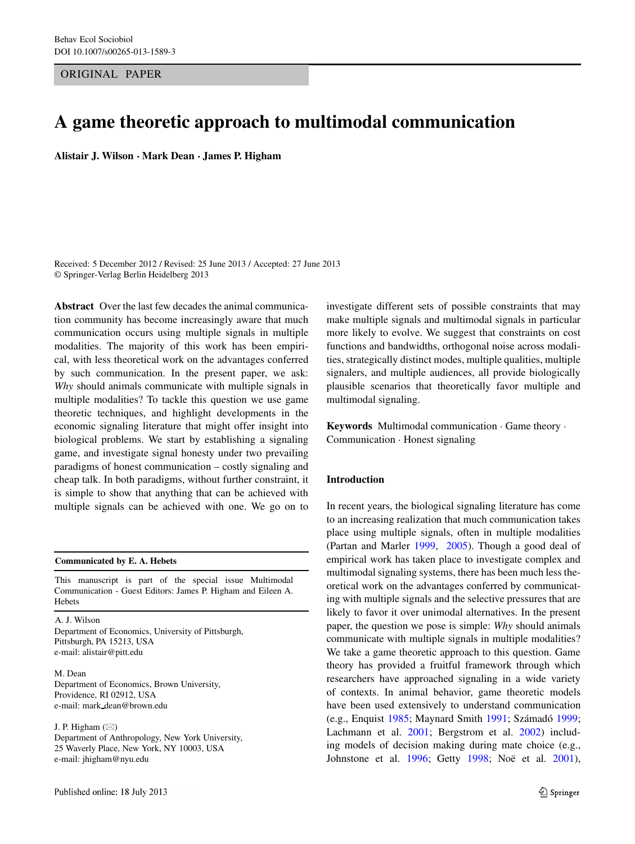ORIGINAL PAPER

# **A game theoretic approach to multimodal communication**

**Alistair J. Wilson · Mark Dean · James P. Higham**

Received: 5 December 2012 / Revised: 25 June 2013 / Accepted: 27 June 2013 © Springer-Verlag Berlin Heidelberg 2013

**Abstract** Over the last few decades the animal communication community has become increasingly aware that much communication occurs using multiple signals in multiple modalities. The majority of this work has been empirical, with less theoretical work on the advantages conferred by such communication. In the present paper, we ask: *Why* should animals communicate with multiple signals in multiple modalities? To tackle this question we use game theoretic techniques, and highlight developments in the economic signaling literature that might offer insight into biological problems. We start by establishing a signaling game, and investigate signal honesty under two prevailing paradigms of honest communication – costly signaling and cheap talk. In both paradigms, without further constraint, it is simple to show that anything that can be achieved with multiple signals can be achieved with one. We go on to

**Communicated by E. A. Hebets**

This manuscript is part of the special issue Multimodal Communication - Guest Editors: James P. Higham and Eileen A. Hebets

A. J. Wilson

Department of Economics, University of Pittsburgh, Pittsburgh, PA 15213, USA e-mail: [alistair@pitt.edu](mailto:alistair@pitt.edu)

M. Dean Department of Economics, Brown University, Providence, RI 02912, USA e-mail: mark [dean@brown.edu](mailto:mark_dean@brown.edu)

J. P. Higham  $(\boxtimes)$ 

Department of Anthropology, New York University, 25 Waverly Place, New York, NY 10003, USA e-mail: [jhigham@nyu.edu](mailto:jhigham@nyu.edu)

investigate different sets of possible constraints that may make multiple signals and multimodal signals in particular more likely to evolve. We suggest that constraints on cost functions and bandwidths, orthogonal noise across modalities, strategically distinct modes, multiple qualities, multiple signalers, and multiple audiences, all provide biologically plausible scenarios that theoretically favor multiple and multimodal signaling.

**Keywords** Multimodal communication · Game theory · Communication · Honest signaling

# **Introduction**

In recent years, the biological signaling literature has come to an increasing realization that much communication takes place using multiple signals, often in multiple modalities (Partan and Marler [1999,](#page-16-0) [2005\)](#page-16-1). Though a good deal of empirical work has taken place to investigate complex and multimodal signaling systems, there has been much less theoretical work on the advantages conferred by communicating with multiple signals and the selective pressures that are likely to favor it over unimodal alternatives. In the present paper, the question we pose is simple: *Why* should animals communicate with multiple signals in multiple modalities? We take a game theoretic approach to this question. Game theory has provided a fruitful framework through which researchers have approached signaling in a wide variety of contexts. In animal behavior, game theoretic models have been used extensively to understand communication (e.g., Enquist [1985;](#page-15-0) Maynard Smith [1991;](#page-16-2) Számadó [1999;](#page-16-3) Lachmann et al. [2001;](#page-16-4) Bergstrom et al. [2002\)](#page-15-1) including models of decision making during mate choice (e.g., Johnstone et al. [1996;](#page-16-5) Getty [1998;](#page-15-2) Noë et al. [2001\)](#page-16-6),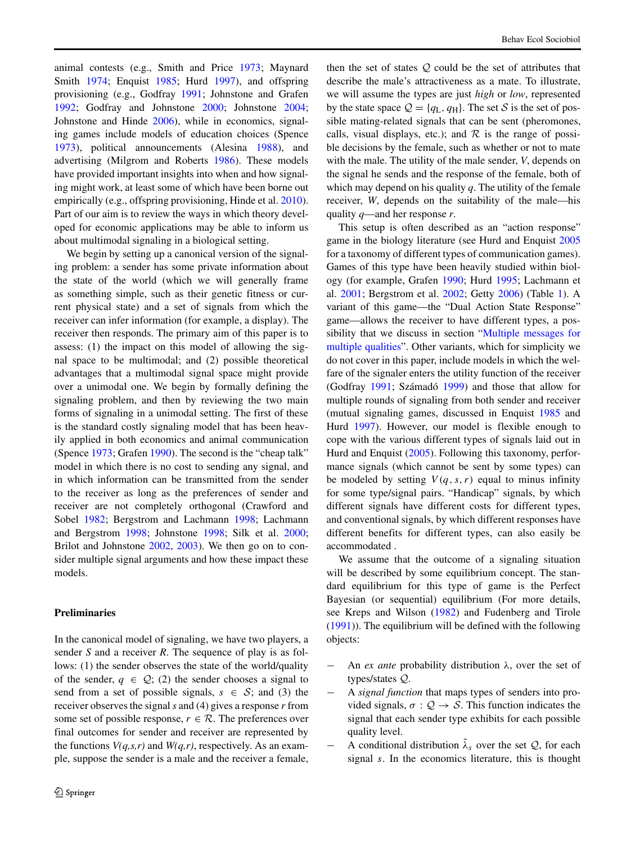animal contests (e.g., Smith and Price [1973;](#page-16-7) Maynard Smith [1974;](#page-16-8) Enquist [1985;](#page-15-0) Hurd [1997\)](#page-16-9), and offspring provisioning (e.g., Godfray [1991;](#page-15-3) Johnstone and Grafen [1992;](#page-16-10) Godfray and Johnstone [2000;](#page-15-4) Johnstone [2004;](#page-16-11) Johnstone and Hinde [2006\)](#page-16-12), while in economics, signaling games include models of education choices (Spence [1973\)](#page-16-13), political announcements (Alesina [1988\)](#page-15-5), and advertising (Milgrom and Roberts [1986\)](#page-16-14). These models have provided important insights into when and how signaling might work, at least some of which have been borne out empirically (e.g., offspring provisioning, Hinde et al. [2010\)](#page-15-6). Part of our aim is to review the ways in which theory developed for economic applications may be able to inform us about multimodal signaling in a biological setting.

We begin by setting up a canonical version of the signaling problem: a sender has some private information about the state of the world (which we will generally frame as something simple, such as their genetic fitness or current physical state) and a set of signals from which the receiver can infer information (for example, a display). The receiver then responds. The primary aim of this paper is to assess: (1) the impact on this model of allowing the signal space to be multimodal; and (2) possible theoretical advantages that a multimodal signal space might provide over a unimodal one. We begin by formally defining the signaling problem, and then by reviewing the two main forms of signaling in a unimodal setting. The first of these is the standard costly signaling model that has been heavily applied in both economics and animal communication (Spence [1973;](#page-16-13) Grafen [1990\)](#page-15-7). The second is the "cheap talk" model in which there is no cost to sending any signal, and in which information can be transmitted from the sender to the receiver as long as the preferences of sender and receiver are not completely orthogonal (Crawford and Sobel [1982;](#page-15-8) Bergstrom and Lachmann [1998;](#page-15-9) Lachmann and Bergstrom [1998;](#page-16-15) Johnstone [1998;](#page-16-16) Silk et al. [2000;](#page-16-17) Brilot and Johnstone [2002,](#page-15-10) [2003\)](#page-15-11). We then go on to consider multiple signal arguments and how these impact these models.

### **Preliminaries**

In the canonical model of signaling, we have two players, a sender *S* and a receiver *R*. The sequence of play is as follows: (1) the sender observes the state of the world/quality of the sender,  $q \in \mathcal{Q}$ ; (2) the sender chooses a signal to send from a set of possible signals,  $s \in S$ ; and (3) the receiver observes the signal*s* and (4) gives a response *r* from some set of possible response,  $r \in \mathcal{R}$ . The preferences over final outcomes for sender and receiver are represented by the functions  $V(q,s,r)$  and  $W(q,r)$ , respectively. As an example, suppose the sender is a male and the receiver a female,

then the set of states *Q* could be the set of attributes that describe the male's attractiveness as a mate. To illustrate, we will assume the types are just *high* or *low*, represented by the state space  $\mathcal{Q} = \{q_L, q_H\}$ . The set *S* is the set of possible mating-related signals that can be sent (pheromones, calls, visual displays, etc.); and  $R$  is the range of possible decisions by the female, such as whether or not to mate with the male. The utility of the male sender, *V*, depends on the signal he sends and the response of the female, both of which may depend on his quality *q*. The utility of the female receiver, *W*, depends on the suitability of the male—his quality *q*—and her response *r*.

This setup is often described as an "action response" game in the biology literature (see Hurd and Enquist [2005](#page-16-18) for a taxonomy of different types of communication games). Games of this type have been heavily studied within biology (for example, Grafen [1990;](#page-15-7) Hurd [1995;](#page-16-19) Lachmann et al. [2001;](#page-16-4) Bergstrom et al. [2002;](#page-15-1) Getty [2006\)](#page-15-12) (Table [1\)](#page-2-0). A variant of this game—the "Dual Action State Response" game—allows the receiver to have different types, a possibility that we discuss in section ["Multiple messages for](#page-10-0) [multiple qualities"](#page-10-0). Other variants, which for simplicity we do not cover in this paper, include models in which the welfare of the signaler enters the utility function of the receiver (Godfray [1991;](#page-15-3) Számadó [1999\)](#page-16-3) and those that allow for multiple rounds of signaling from both sender and receiver (mutual signaling games, discussed in Enquist [1985](#page-15-0) and Hurd [1997\)](#page-16-9). However, our model is flexible enough to cope with the various different types of signals laid out in Hurd and Enquist [\(2005\)](#page-16-18). Following this taxonomy, performance signals (which cannot be sent by some types) can be modeled by setting  $V(q, s, r)$  equal to minus infinity for some type/signal pairs. "Handicap" signals, by which different signals have different costs for different types, and conventional signals, by which different responses have different benefits for different types, can also easily be accommodated .

We assume that the outcome of a signaling situation will be described by some equilibrium concept. The standard equilibrium for this type of game is the Perfect Bayesian (or sequential) equilibrium (For more details, see Kreps and Wilson [\(1982\)](#page-16-20) and Fudenberg and Tirole [\(1991\)](#page-15-13)). The equilibrium will be defined with the following objects:

- An *ex ante* probability distribution λ, over the set of types/states *Q*.
- − A *signal function* that maps types of senders into provided signals,  $\sigma : \mathcal{Q} \to \mathcal{S}$ . This function indicates the signal that each sender type exhibits for each possible quality level.
- A conditional distribution  $\tilde{\lambda}_s$  over the set *Q*, for each signal s. In the economics literature, this is thought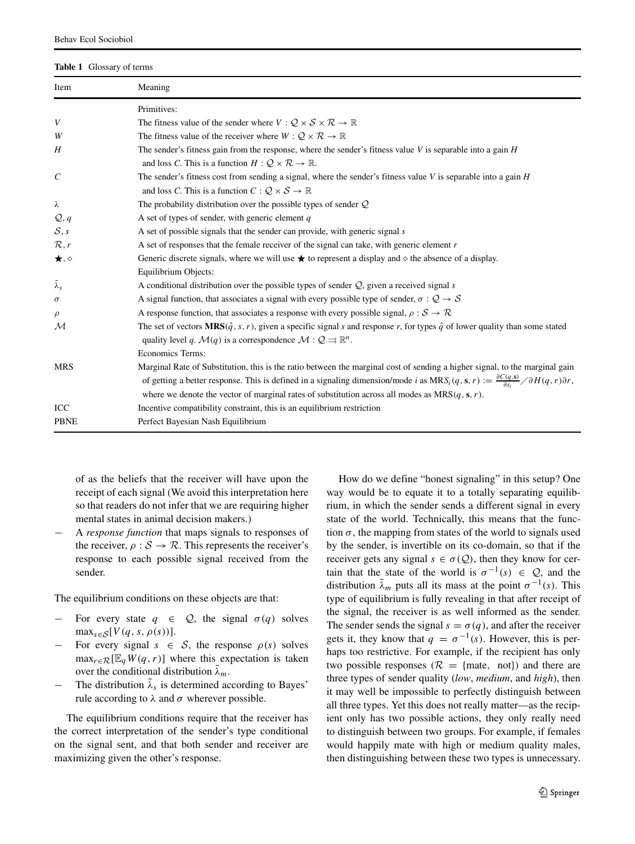#### <span id="page-2-0"></span>**Table 1** Glossary of terms

| Item                    | Meaning                                                                                                                                                                                                                                                                                                                                                                                                               |
|-------------------------|-----------------------------------------------------------------------------------------------------------------------------------------------------------------------------------------------------------------------------------------------------------------------------------------------------------------------------------------------------------------------------------------------------------------------|
|                         | Primitives:                                                                                                                                                                                                                                                                                                                                                                                                           |
| V                       | The fitness value of the sender where $V: Q \times S \times R \rightarrow \mathbb{R}$                                                                                                                                                                                                                                                                                                                                 |
| W                       | The fitness value of the receiver where $W: \mathcal{Q} \times \mathcal{R} \to \mathbb{R}$                                                                                                                                                                                                                                                                                                                            |
| H                       | The sender's fitness gain from the response, where the sender's fitness value $V$ is separable into a gain $H$<br>and loss C. This is a function $H: \mathcal{Q} \times \mathcal{R} \to \mathbb{R}$ .                                                                                                                                                                                                                 |
| $\mathcal{C}_{0}^{0}$   | The sender's fitness cost from sending a signal, where the sender's fitness value $V$ is separable into a gain $H$<br>and loss C. This is a function $C: \mathcal{Q} \times \mathcal{S} \to \mathbb{R}$                                                                                                                                                                                                               |
| λ                       | The probability distribution over the possible types of sender $Q$                                                                                                                                                                                                                                                                                                                                                    |
| Q, q                    | A set of types of sender, with generic element $q$                                                                                                                                                                                                                                                                                                                                                                    |
| S, s                    | A set of possible signals that the sender can provide, with generic signal s                                                                                                                                                                                                                                                                                                                                          |
| $\mathcal{R}, r$        | A set of responses that the female receiver of the signal can take, with generic element $r$                                                                                                                                                                                                                                                                                                                          |
| $\bigstar$ , $\diamond$ | Generic discrete signals, where we will use $\star$ to represent a display and $\diamond$ the absence of a display.<br>Equilibrium Objects:                                                                                                                                                                                                                                                                           |
| $\tilde{\lambda}_s$     | A conditional distribution over the possible types of sender $Q$ , given a received signal s                                                                                                                                                                                                                                                                                                                          |
| σ                       | A signal function, that associates a signal with every possible type of sender, $\sigma : Q \rightarrow S$                                                                                                                                                                                                                                                                                                            |
| $\rho$                  | A response function, that associates a response with every possible signal, $\rho : S \to \mathcal{R}$                                                                                                                                                                                                                                                                                                                |
| $\mathcal M$            | The set of vectors $MRS(\hat{q}, s, r)$ , given a specific signal s and response r, for types $\hat{q}$ of lower quality than some stated<br>quality level q. $\mathcal{M}(q)$ is a correspondence $\mathcal{M}: \mathcal{Q} \rightrightarrows \mathbb{R}^n$ .<br>Economics Terms:                                                                                                                                    |
| <b>MRS</b>              | Marginal Rate of Substitution, this is the ratio between the marginal cost of sending a higher signal, to the marginal gain<br>of getting a better response. This is defined in a signaling dimension/mode <i>i</i> as $MRS_i(q, s, r) := \frac{\partial C(q, s)}{\partial s_i} / \partial H(q, r) \partial r$ ,<br>where we denote the vector of marginal rates of substitution across all modes as $MRS(q, s, r)$ . |
| ICC                     | Incentive compatibility constraint, this is an equilibrium restriction                                                                                                                                                                                                                                                                                                                                                |
| <b>PBNE</b>             | Perfect Bayesian Nash Equilibrium                                                                                                                                                                                                                                                                                                                                                                                     |

of as the beliefs that the receiver will have upon the receipt of each signal (We avoid this interpretation here so that readers do not infer that we are requiring higher mental states in animal decision makers.)

− A *response function* that maps signals to responses of the receiver,  $\rho : \mathcal{S} \to \mathcal{R}$ . This represents the receiver's response to each possible signal received from the sender.

The equilibrium conditions on these objects are that:

- For every state  $q \in \mathcal{Q}$ , the signal  $\sigma(q)$  solves  $\max_{s \in \mathcal{S}}[V(q, s, \rho(s))]$ .
- For every signal  $s \in S$ , the response  $\rho(s)$  solves  $\max_{r \in \mathcal{R}} [\mathbb{E}_q W(q, r)]$  where this expectation is taken over the conditional distribution  $\lambda_m$ .
- The distribution  $\tilde{\lambda}_s$  is determined according to Bayes' rule according to  $\lambda$  and  $\sigma$  wherever possible.

The equilibrium conditions require that the receiver has the correct interpretation of the sender's type conditional on the signal sent, and that both sender and receiver are maximizing given the other's response.

How do we define "honest signaling" in this setup? One way would be to equate it to a totally separating equilibrium, in which the sender sends a different signal in every state of the world. Technically, this means that the function  $\sigma$ , the mapping from states of the world to signals used by the sender, is invertible on its co-domain, so that if the receiver gets any signal  $s \in \sigma(Q)$ , then they know for certain that the state of the world is  $\sigma^{-1}(s) \in \mathcal{Q}$ , and the distribution  $\tilde{\lambda}_m$  puts all its mass at the point  $\sigma^{-1}(s)$ . This type of equilibrium is fully revealing in that after receipt of the signal, the receiver is as well informed as the sender. The sender sends the signal  $s = \sigma(q)$ , and after the receiver gets it, they know that  $q = \sigma^{-1}(s)$ . However, this is perhaps too restrictive. For example, if the recipient has only two possible responses ( $\mathcal{R} = \{ \text{mate}, \text{ not} \}$ ) and there are three types of sender quality (*low*, *medium*, and *high*), then it may well be impossible to perfectly distinguish between all three types. Yet this does not really matter—as the recipient only has two possible actions, they only really need to distinguish between two groups. For example, if females would happily mate with high or medium quality males, then distinguishing between these two types is unnecessary.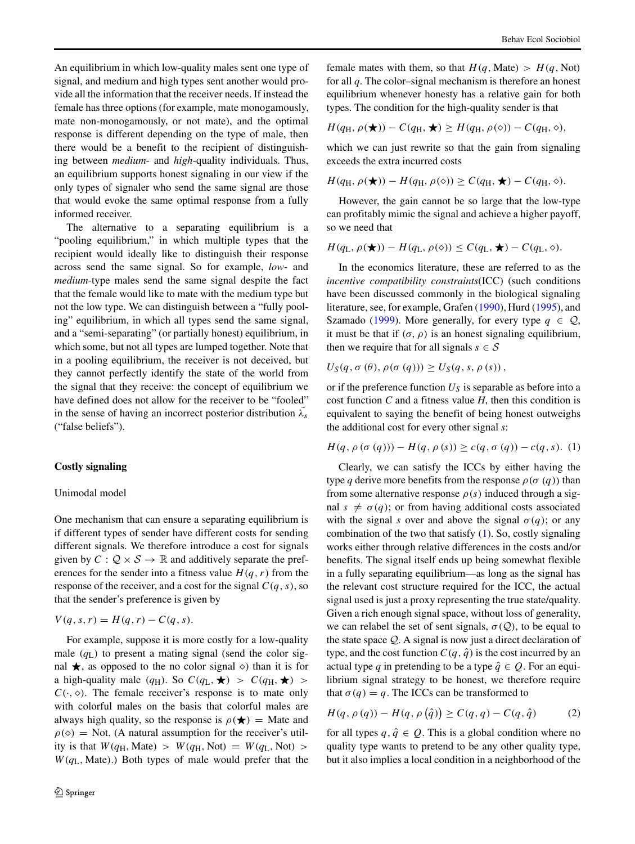An equilibrium in which low-quality males sent one type of signal, and medium and high types sent another would provide all the information that the receiver needs. If instead the female has three options (for example, mate monogamously, mate non-monogamously, or not mate), and the optimal response is different depending on the type of male, then there would be a benefit to the recipient of distinguishing between *medium*- and *high*-quality individuals. Thus, an equilibrium supports honest signaling in our view if the only types of signaler who send the same signal are those that would evoke the same optimal response from a fully informed receiver.

The alternative to a separating equilibrium is a "pooling equilibrium," in which multiple types that the recipient would ideally like to distinguish their response across send the same signal. So for example, *low*- and *medium*-type males send the same signal despite the fact that the female would like to mate with the medium type but not the low type. We can distinguish between a "fully pooling" equilibrium, in which all types send the same signal, and a "semi-separating" (or partially honest) equilibrium, in which some, but not all types are lumped together. Note that in a pooling equilibrium, the receiver is not deceived, but they cannot perfectly identify the state of the world from the signal that they receive: the concept of equilibrium we have defined does not allow for the receiver to be "fooled" in the sense of having an incorrect posterior distribution  $\tilde{\lambda_s}$ ("false beliefs").

#### **Costly signaling**

#### Unimodal model

One mechanism that can ensure a separating equilibrium is if different types of sender have different costs for sending different signals. We therefore introduce a cost for signals given by  $C: Q \times S \to \mathbb{R}$  and additively separate the preferences for the sender into a fitness value  $H(q, r)$  from the response of the receiver, and a cost for the signal  $C(q, s)$ , so that the sender's preference is given by

$$
V(q, s, r) = H(q, r) - C(q, s).
$$

For example, suppose it is more costly for a low-quality male  $(q_L)$  to present a mating signal (send the color signal  $\star$ , as opposed to the no color signal  $\diamond$ ) than it is for a high-quality male  $(q_H)$ . So  $C(q_L, \star) > C(q_H, \star) >$  $C(\cdot, \diamond)$ . The female receiver's response is to mate only with colorful males on the basis that colorful males are always high quality, so the response is  $\rho(\star) =$  Mate and  $\rho(\diamond)$  = Not. (A natural assumption for the receiver's utility is that  $W(q_H, \text{Mate}) > W(q_H, \text{Not}) = W(q_L, \text{Not}) >$  $W(q_L, \text{Mate})$ .) Both types of male would prefer that the female mates with them, so that  $H(q, \text{Mate}) > H(q, \text{Not})$ for all *q*. The color–signal mechanism is therefore an honest equilibrium whenever honesty has a relative gain for both types. The condition for the high-quality sender is that

$$
H(q_H, \rho(\bigstar)) - C(q_H, \bigstar) \ge H(q_H, \rho(\diamond)) - C(q_H, \diamond),
$$

which we can just rewrite so that the gain from signaling exceeds the extra incurred costs

$$
H(q_{\rm H}, \rho(\bigstar)) - H(q_{\rm H}, \rho(\diamond)) \ge C(q_{\rm H}, \bigstar) - C(q_{\rm H}, \diamond).
$$

However, the gain cannot be so large that the low-type can profitably mimic the signal and achieve a higher payoff, so we need that

$$
H(q_{\mathsf{L}}, \rho(\bigstar)) - H(q_{\mathsf{L}}, \rho(\diamond)) \leq C(q_{\mathsf{L}}, \bigstar) - C(q_{\mathsf{L}}, \diamond).
$$

In the economics literature, these are referred to as the *incentive compatibility constraints*(ICC) (such conditions have been discussed commonly in the biological signaling literature, see, for example, Grafen [\(1990\)](#page-15-7), Hurd [\(1995\)](#page-16-19), and Szamado [\(1999\)](#page-16-3). More generally, for every type  $q \in \mathcal{Q}$ , it must be that if  $(\sigma, \rho)$  is an honest signaling equilibrium, then we require that for all signals  $s \in S$ 

$$
U_S(q, \sigma(\theta), \rho(\sigma(q))) \geq U_S(q, s, \rho(s)),
$$

or if the preference function  $U<sub>S</sub>$  is separable as before into a cost function *C* and a fitness value *H*, then this condition is equivalent to saying the benefit of being honest outweighs the additional cost for every other signal *s*:

<span id="page-3-0"></span>
$$
H(q, \rho(\sigma(q))) - H(q, \rho(s)) \ge c(q, \sigma(q)) - c(q, s). \tag{1}
$$

Clearly, we can satisfy the ICCs by either having the type *q* derive more benefits from the response  $\rho(\sigma(q))$  than from some alternative response  $\rho(s)$  induced through a signal  $s \neq \sigma(q)$ ; or from having additional costs associated with the signal *s* over and above the signal  $\sigma(q)$ ; or any combination of the two that satisfy [\(1\)](#page-3-0). So, costly signaling works either through relative differences in the costs and/or benefits. The signal itself ends up being somewhat flexible in a fully separating equilibrium—as long as the signal has the relevant cost structure required for the ICC, the actual signal used is just a proxy representing the true state/quality. Given a rich enough signal space, without loss of generality, we can relabel the set of sent signals,  $\sigma(Q)$ , to be equal to the state space *Q*. A signal is now just a direct declaration of type, and the cost function  $C(q, \hat{q})$  is the cost incurred by an actual type q in pretending to be a type  $\hat{q} \in Q$ . For an equilibrium signal strategy to be honest, we therefore require that  $\sigma(q) = q$ . The ICCs can be transformed to

<span id="page-3-1"></span>
$$
H(q, \rho(q)) - H(q, \rho(\hat{q})) \ge C(q, q) - C(q, \hat{q})
$$
 (2)

for all types  $q, \hat{q} \in Q$ . This is a global condition where no quality type wants to pretend to be any other quality type, but it also implies a local condition in a neighborhood of the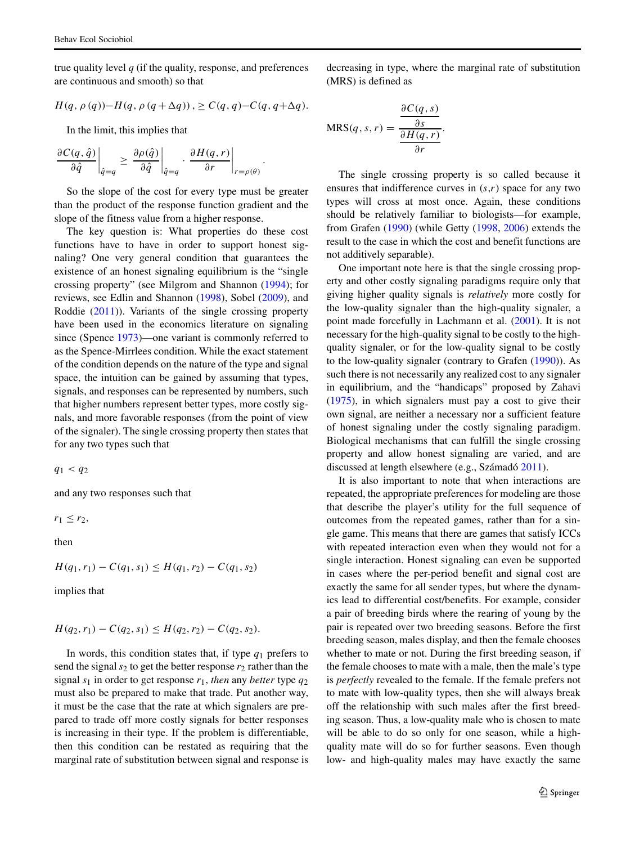true quality level *q* (if the quality, response, and preferences are continuous and smooth) so that

$$
H(q, \rho(q)) - H(q, \rho(q + \Delta q)), \geq C(q, q) - C(q, q + \Delta q).
$$

In the limit, this implies that

$$
\left. \frac{\partial C(q, \hat{q})}{\partial \hat{q}} \right|_{\hat{q}=q} \ge \left. \frac{\partial \rho(\hat{q})}{\partial \hat{q}} \right|_{\hat{q}=q} \cdot \left. \frac{\partial H(q, r)}{\partial r} \right|_{r=\rho(\theta)}.
$$

So the slope of the cost for every type must be greater than the product of the response function gradient and the slope of the fitness value from a higher response.

The key question is: What properties do these cost functions have to have in order to support honest signaling? One very general condition that guarantees the existence of an honest signaling equilibrium is the "single crossing property" (see Milgrom and Shannon [\(1994\)](#page-16-21); for reviews, see Edlin and Shannon [\(1998\)](#page-15-14), Sobel [\(2009\)](#page-16-22), and Roddie [\(2011\)](#page-16-23)). Variants of the single crossing property have been used in the economics literature on signaling since (Spence [1973\)](#page-16-13)—one variant is commonly referred to as the Spence-Mirrlees condition. While the exact statement of the condition depends on the nature of the type and signal space, the intuition can be gained by assuming that types, signals, and responses can be represented by numbers, such that higher numbers represent better types, more costly signals, and more favorable responses (from the point of view of the signaler). The single crossing property then states that for any two types such that

 $q_1 < q_2$ 

and any two responses such that

 $r_1 \le r_2$ ,

then

 $H(q_1, r_1) - C(q_1, s_1) \leq H(q_1, r_2) - C(q_1, s_2)$ 

implies that

$$
H(q_2, r_1) - C(q_2, s_1) \le H(q_2, r_2) - C(q_2, s_2).
$$

In words, this condition states that, if type  $q_1$  prefers to send the signal  $s_2$  to get the better response  $r_2$  rather than the signal  $s_1$  in order to get response  $r_1$ , *then* any *better* type  $q_2$ must also be prepared to make that trade. Put another way, it must be the case that the rate at which signalers are prepared to trade off more costly signals for better responses is increasing in their type. If the problem is differentiable, then this condition can be restated as requiring that the marginal rate of substitution between signal and response is decreasing in type, where the marginal rate of substitution (MRS) is defined as

$$
MRS(q, s, r) = \frac{\frac{\partial C(q, s)}{\partial s}}{\frac{\partial H(q, r)}{\partial r}}.
$$

The single crossing property is so called because it ensures that indifference curves in  $(s,r)$  space for any two types will cross at most once. Again, these conditions should be relatively familiar to biologists—for example, from Grafen [\(1990\)](#page-15-7) (while Getty [\(1998,](#page-15-2) [2006\)](#page-15-12) extends the result to the case in which the cost and benefit functions are not additively separable).

One important note here is that the single crossing property and other costly signaling paradigms require only that giving higher quality signals is *relatively* more costly for the low-quality signaler than the high-quality signaler, a point made forcefully in Lachmann et al. [\(2001\)](#page-16-4). It is not necessary for the high-quality signal to be costly to the highquality signaler, or for the low-quality signal to be costly to the low-quality signaler (contrary to Grafen [\(1990\)](#page-15-7)). As such there is not necessarily any realized cost to any signaler in equilibrium, and the "handicaps" proposed by Zahavi [\(1975\)](#page-16-24), in which signalers must pay a cost to give their own signal, are neither a necessary nor a sufficient feature of honest signaling under the costly signaling paradigm. Biological mechanisms that can fulfill the single crossing property and allow honest signaling are varied, and are discussed at length elsewhere (e.g., Számadó [2011\)](#page-16-25).

It is also important to note that when interactions are repeated, the appropriate preferences for modeling are those that describe the player's utility for the full sequence of outcomes from the repeated games, rather than for a single game. This means that there are games that satisfy ICCs with repeated interaction even when they would not for a single interaction. Honest signaling can even be supported in cases where the per-period benefit and signal cost are exactly the same for all sender types, but where the dynamics lead to differential cost/benefits. For example, consider a pair of breeding birds where the rearing of young by the pair is repeated over two breeding seasons. Before the first breeding season, males display, and then the female chooses whether to mate or not. During the first breeding season, if the female chooses to mate with a male, then the male's type is *perfectly* revealed to the female. If the female prefers not to mate with low-quality types, then she will always break off the relationship with such males after the first breeding season. Thus, a low-quality male who is chosen to mate will be able to do so only for one season, while a highquality mate will do so for further seasons. Even though low- and high-quality males may have exactly the same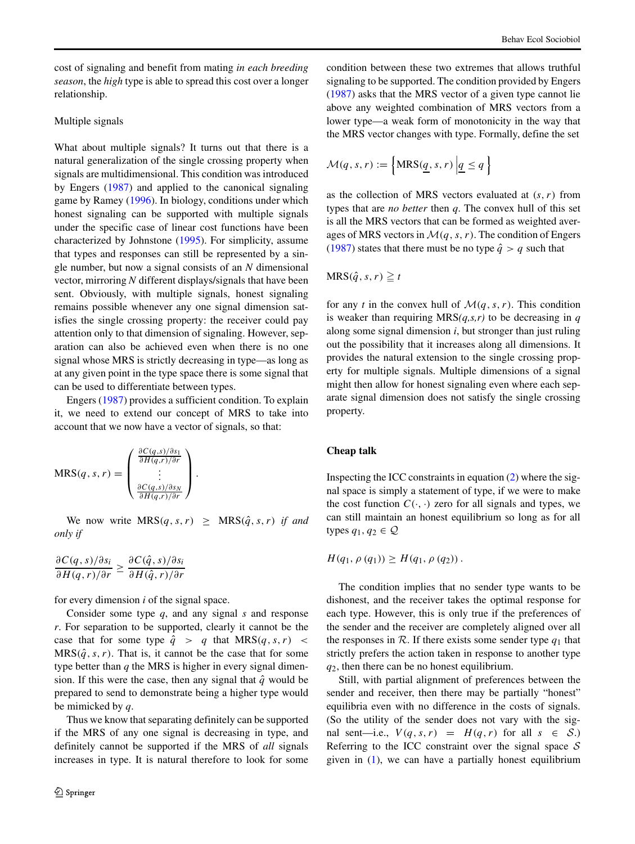cost of signaling and benefit from mating *in each breeding season*, the *high* type is able to spread this cost over a longer relationship.

# Multiple signals

What about multiple signals? It turns out that there is a natural generalization of the single crossing property when signals are multidimensional. This condition was introduced by Engers [\(1987\)](#page-15-15) and applied to the canonical signaling game by Ramey [\(1996\)](#page-16-26). In biology, conditions under which honest signaling can be supported with multiple signals under the specific case of linear cost functions have been characterized by Johnstone [\(1995\)](#page-16-27). For simplicity, assume that types and responses can still be represented by a single number, but now a signal consists of an *N* dimensional vector, mirroring *N* different displays/signals that have been sent. Obviously, with multiple signals, honest signaling remains possible whenever any one signal dimension satisfies the single crossing property: the receiver could pay attention only to that dimension of signaling. However, separation can also be achieved even when there is no one signal whose MRS is strictly decreasing in type—as long as at any given point in the type space there is some signal that can be used to differentiate between types.

Engers [\(1987\)](#page-15-15) provides a sufficient condition. To explain it, we need to extend our concept of MRS to take into account that we now have a vector of signals, so that:

$$
MRS(q, s, r) = \begin{pmatrix} \frac{\partial C(q, s)/\partial s_1}{\partial H(q, r)/\partial r} \\ \vdots \\ \frac{\partial C(q, s)/\partial s_N}{\partial H(q, r)/\partial r} \end{pmatrix}.
$$

We now write  $MRS(q, s, r) \geq MRS(\hat{q}, s, r)$  if and *only if*

$$
\frac{\partial C(q, s)/\partial s_i}{\partial H(q, r)/\partial r} \ge \frac{\partial C(\hat{q}, s)/\partial s_i}{\partial H(\hat{q}, r)/\partial r}
$$

for every dimension *i* of the signal space.

Consider some type *q*, and any signal *s* and response *r*. For separation to be supported, clearly it cannot be the case that for some type  $\hat{q} > q$  that  $MRS(q, s, r) <$  $MRS(\hat{q}, s, r)$ . That is, it cannot be the case that for some type better than *q* the MRS is higher in every signal dimension. If this were the case, then any signal that  $\hat{q}$  would be prepared to send to demonstrate being a higher type would be mimicked by *q*.

Thus we know that separating definitely can be supported if the MRS of any one signal is decreasing in type, and definitely cannot be supported if the MRS of *all* signals increases in type. It is natural therefore to look for some condition between these two extremes that allows truthful signaling to be supported. The condition provided by Engers [\(1987\)](#page-15-15) asks that the MRS vector of a given type cannot lie above any weighted combination of MRS vectors from a lower type—a weak form of monotonicity in the way that the MRS vector changes with type. Formally, define the set

$$
\mathcal{M}(q, s, r) := \left\{ \text{MRS}(\underline{q}, s, r) \middle| \underline{q} \le q \right\}
$$

as the collection of MRS vectors evaluated at  $(s, r)$  from types that are *no better* then *q*. The convex hull of this set is all the MRS vectors that can be formed as weighted averages of MRS vectors in  $\mathcal{M}(q, s, r)$ . The condition of Engers [\(1987\)](#page-15-15) states that there must be no type  $\hat{q} > q$  such that

$$
MRS(\hat{q}, s, r) \geqq t
$$

for any *t* in the convex hull of  $\mathcal{M}(q, s, r)$ . This condition is weaker than requiring MRS*(q,s,r)* to be decreasing in *q* along some signal dimension *i*, but stronger than just ruling out the possibility that it increases along all dimensions. It provides the natural extension to the single crossing property for multiple signals. Multiple dimensions of a signal might then allow for honest signaling even where each separate signal dimension does not satisfy the single crossing property.

#### <span id="page-5-0"></span>**Cheap talk**

Inspecting the ICC constraints in equation  $(2)$  where the signal space is simply a statement of type, if we were to make the cost function  $C(\cdot, \cdot)$  zero for all signals and types, we can still maintain an honest equilibrium so long as for all types  $q_1, q_2 \in \mathcal{Q}$ 

$$
H(q_1, \rho(q_1)) \geq H(q_1, \rho(q_2)).
$$

The condition implies that no sender type wants to be dishonest, and the receiver takes the optimal response for each type. However, this is only true if the preferences of the sender and the receiver are completely aligned over all the responses in  $R$ . If there exists some sender type  $q_1$  that strictly prefers the action taken in response to another type  $q_2$ , then there can be no honest equilibrium.

Still, with partial alignment of preferences between the sender and receiver, then there may be partially "honest" equilibria even with no difference in the costs of signals. (So the utility of the sender does not vary with the signal sent—i.e.,  $V(q, s, r) = H(q, r)$  for all  $s \in S$ .) Referring to the ICC constraint over the signal space *S* given in  $(1)$ , we can have a partially honest equilibrium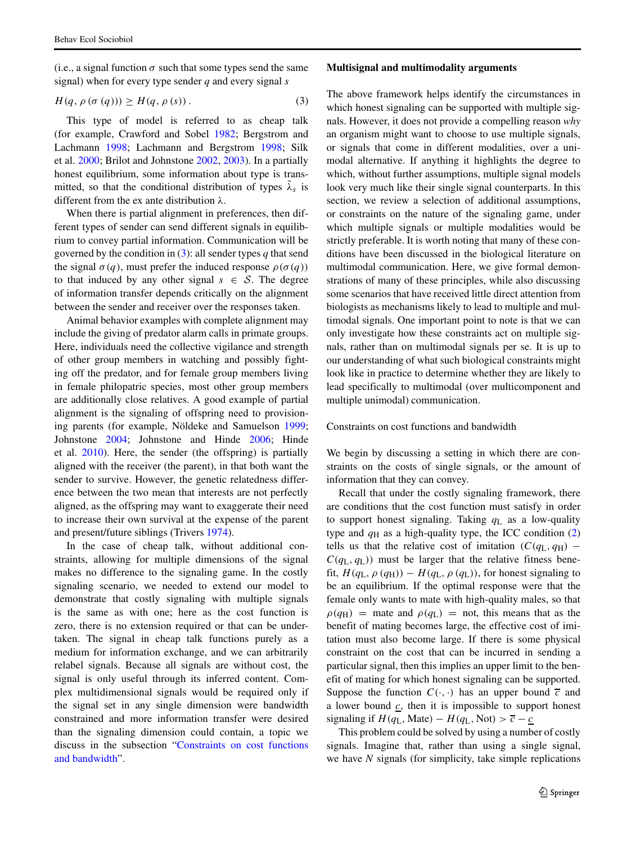(i.e., a signal function  $\sigma$  such that some types send the same signal) when for every type sender *q* and every signal *s*

$$
H(q, \rho \left( \sigma \left( q \right) \right)) \ge H(q, \rho \left( s \right)). \tag{3}
$$

This type of model is referred to as cheap talk (for example, Crawford and Sobel [1982;](#page-15-8) Bergstrom and Lachmann [1998;](#page-15-9) Lachmann and Bergstrom [1998;](#page-16-15) Silk et al. [2000;](#page-16-17) Brilot and Johnstone [2002,](#page-15-10) [2003\)](#page-15-11). In a partially honest equilibrium, some information about type is transmitted, so that the conditional distribution of types  $\lambda_s$  is different from the ex ante distribution  $\lambda$ .

When there is partial alignment in preferences, then different types of sender can send different signals in equilibrium to convey partial information. Communication will be governed by the condition in [\(3\)](#page-6-0): all sender types *q* that send the signal  $\sigma(q)$ , must prefer the induced response  $\rho(\sigma(q))$ to that induced by any other signal  $s \in S$ . The degree of information transfer depends critically on the alignment between the sender and receiver over the responses taken.

Animal behavior examples with complete alignment may include the giving of predator alarm calls in primate groups. Here, individuals need the collective vigilance and strength of other group members in watching and possibly fighting off the predator, and for female group members living in female philopatric species, most other group members are additionally close relatives. A good example of partial alignment is the signaling of offspring need to provision-ing parents (for example, Nöldeke and Samuelson [1999;](#page-16-28) Johnstone [2004;](#page-16-11) Johnstone and Hinde [2006;](#page-16-12) Hinde et al. [2010\)](#page-15-6). Here, the sender (the offspring) is partially aligned with the receiver (the parent), in that both want the sender to survive. However, the genetic relatedness difference between the two mean that interests are not perfectly aligned, as the offspring may want to exaggerate their need to increase their own survival at the expense of the parent and present/future siblings (Trivers [1974\)](#page-16-29).

In the case of cheap talk, without additional constraints, allowing for multiple dimensions of the signal makes no difference to the signaling game. In the costly signaling scenario, we needed to extend our model to demonstrate that costly signaling with multiple signals is the same as with one; here as the cost function is zero, there is no extension required or that can be undertaken. The signal in cheap talk functions purely as a medium for information exchange, and we can arbitrarily relabel signals. Because all signals are without cost, the signal is only useful through its inferred content. Complex multidimensional signals would be required only if the signal set in any single dimension were bandwidth constrained and more information transfer were desired than the signaling dimension could contain, a topic we discuss in the subsection ["Constraints on cost functions](#page-6-1) [and bandwidth"](#page-6-1).

#### <span id="page-6-0"></span>**Multisignal and multimodality arguments**

The above framework helps identify the circumstances in which honest signaling can be supported with multiple signals. However, it does not provide a compelling reason *why* an organism might want to choose to use multiple signals, or signals that come in different modalities, over a unimodal alternative. If anything it highlights the degree to which, without further assumptions, multiple signal models look very much like their single signal counterparts. In this section, we review a selection of additional assumptions, or constraints on the nature of the signaling game, under which multiple signals or multiple modalities would be strictly preferable. It is worth noting that many of these conditions have been discussed in the biological literature on multimodal communication. Here, we give formal demonstrations of many of these principles, while also discussing some scenarios that have received little direct attention from biologists as mechanisms likely to lead to multiple and multimodal signals. One important point to note is that we can only investigate how these constraints act on multiple signals, rather than on multimodal signals per se. It is up to our understanding of what such biological constraints might look like in practice to determine whether they are likely to lead specifically to multimodal (over multicomponent and multiple unimodal) communication.

#### <span id="page-6-1"></span>Constraints on cost functions and bandwidth

We begin by discussing a setting in which there are constraints on the costs of single signals, or the amount of information that they can convey.

Recall that under the costly signaling framework, there are conditions that the cost function must satisfy in order to support honest signaling. Taking  $q_L$  as a low-quality type and  $q_H$  as a high-quality type, the ICC condition [\(2\)](#page-3-1) tells us that the relative cost of imitation ( $C(q_L, q_H)$  –  $C(q_{\rm L}, q_{\rm L})$  must be larger that the relative fitness benefit,  $H(q_L, \rho(q_H)) - H(q_L, \rho(q_L))$ , for honest signaling to be an equilibrium. If the optimal response were that the female only wants to mate with high-quality males, so that  $\rho(q_{\rm H})$  = mate and  $\rho(q_{\rm L})$  = not, this means that as the benefit of mating becomes large, the effective cost of imitation must also become large. If there is some physical constraint on the cost that can be incurred in sending a particular signal, then this implies an upper limit to the benefit of mating for which honest signaling can be supported. Suppose the function  $C(\cdot, \cdot)$  has an upper bound  $\overline{c}$  and a lower bound  $c$ , then it is impossible to support honest signaling if  $H(q_L, \text{Mate}) - H(q_L, \text{Not}) > \overline{c} - \underline{c}$ 

This problem could be solved by using a number of costly signals. Imagine that, rather than using a single signal, we have *N* signals (for simplicity, take simple replications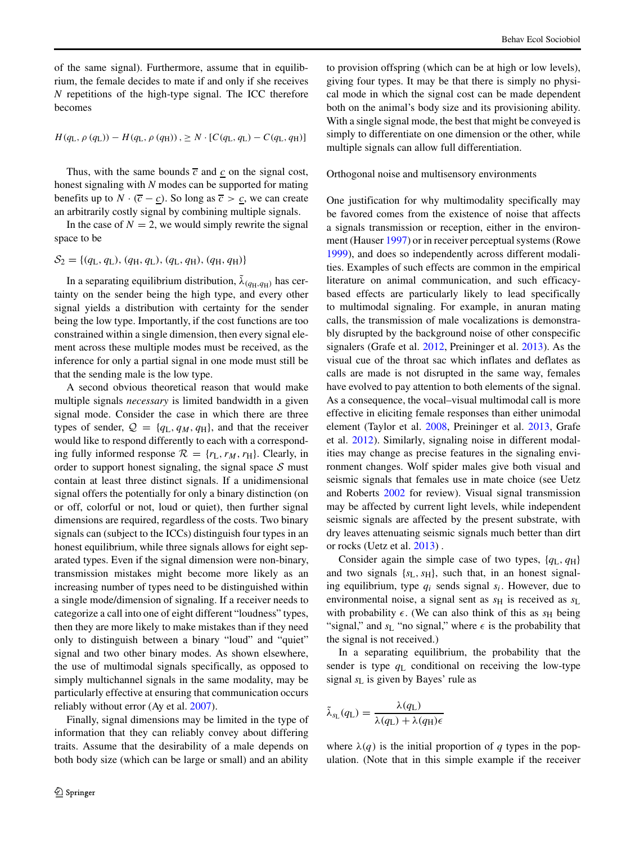of the same signal). Furthermore, assume that in equilibrium, the female decides to mate if and only if she receives *N* repetitions of the high-type signal. The ICC therefore becomes

$$
H(q_L, \rho(q_L)) - H(q_L, \rho(q_H)), \ge N \cdot [C(q_L, q_L) - C(q_L, q_H)]
$$

Thus, with the same bounds  $\overline{c}$  and c on the signal cost, honest signaling with *N* modes can be supported for mating benefits up to  $N \cdot (\overline{c} - c)$ . So long as  $\overline{c} > c$ , we can create an arbitrarily costly signal by combining multiple signals.

In the case of  $N = 2$ , we would simply rewrite the signal space to be

$$
S_2 = \{ (q_L, q_L), (q_H, q_L), (q_L, q_H), (q_H, q_H) \}
$$

In a separating equilibrium distribution,  $\lambda_{(q_H,q_H)}$  has certainty on the sender being the high type, and every other signal yields a distribution with certainty for the sender being the low type. Importantly, if the cost functions are too constrained within a single dimension, then every signal element across these multiple modes must be received, as the inference for only a partial signal in one mode must still be that the sending male is the low type.

A second obvious theoretical reason that would make multiple signals *necessary* is limited bandwidth in a given signal mode. Consider the case in which there are three types of sender,  $Q = \{q_L, q_M, q_H\}$ , and that the receiver would like to respond differently to each with a corresponding fully informed response  $\mathcal{R} = \{r_L, r_M, r_H\}$ . Clearly, in order to support honest signaling, the signal space *S* must contain at least three distinct signals. If a unidimensional signal offers the potentially for only a binary distinction (on or off, colorful or not, loud or quiet), then further signal dimensions are required, regardless of the costs. Two binary signals can (subject to the ICCs) distinguish four types in an honest equilibrium, while three signals allows for eight separated types. Even if the signal dimension were non-binary, transmission mistakes might become more likely as an increasing number of types need to be distinguished within a single mode/dimension of signaling. If a receiver needs to categorize a call into one of eight different "loudness" types, then they are more likely to make mistakes than if they need only to distinguish between a binary "loud" and "quiet" signal and two other binary modes. As shown elsewhere, the use of multimodal signals specifically, as opposed to simply multichannel signals in the same modality, may be particularly effective at ensuring that communication occurs reliably without error (Ay et al. [2007\)](#page-15-16).

Finally, signal dimensions may be limited in the type of information that they can reliably convey about differing traits. Assume that the desirability of a male depends on both body size (which can be large or small) and an ability to provision offspring (which can be at high or low levels), giving four types. It may be that there is simply no physical mode in which the signal cost can be made dependent both on the animal's body size and its provisioning ability. With a single signal mode, the best that might be conveyed is simply to differentiate on one dimension or the other, while multiple signals can allow full differentiation.

#### Orthogonal noise and multisensory environments

One justification for why multimodality specifically may be favored comes from the existence of noise that affects a signals transmission or reception, either in the environment (Hauser [1997\)](#page-15-17) or in receiver perceptual systems (Rowe [1999\)](#page-16-30), and does so independently across different modalities. Examples of such effects are common in the empirical literature on animal communication, and such efficacybased effects are particularly likely to lead specifically to multimodal signaling. For example, in anuran mating calls, the transmission of male vocalizations is demonstrably disrupted by the background noise of other conspecific signalers (Grafe et al. [2012,](#page-15-18) Preininger et al. [2013\)](#page-16-31). As the visual cue of the throat sac which inflates and deflates as calls are made is not disrupted in the same way, females have evolved to pay attention to both elements of the signal. As a consequence, the vocal–visual multimodal call is more effective in eliciting female responses than either unimodal element (Taylor et al. [2008,](#page-16-32) Preininger et al. [2013,](#page-16-31) Grafe et al. [2012\)](#page-15-18). Similarly, signaling noise in different modalities may change as precise features in the signaling environment changes. Wolf spider males give both visual and seismic signals that females use in mate choice (see Uetz and Roberts [2002](#page-16-33) for review). Visual signal transmission may be affected by current light levels, while independent seismic signals are affected by the present substrate, with dry leaves attenuating seismic signals much better than dirt or rocks (Uetz et al. [2013\)](#page-16-34) .

Consider again the simple case of two types,  $\{q_L, q_H\}$ and two signals  $\{s_L, s_H\}$ , such that, in an honest signaling equilibrium, type  $q_i$  sends signal  $s_i$ . However, due to environmental noise, a signal sent as  $s_H$  is received as  $s_L$ with probability  $\epsilon$ . (We can also think of this as  $s_H$  being "signal," and  $s_L$  "no signal," where  $\epsilon$  is the probability that the signal is not received.)

In a separating equilibrium, the probability that the sender is type  $q_L$  conditional on receiving the low-type signal  $s<sub>L</sub>$  is given by Bayes' rule as

$$
\tilde{\lambda}_{s_{\mathrm{L}}}(q_{\mathrm{L}}) = \frac{\lambda(q_{\mathrm{L}})}{\lambda(q_{\mathrm{L}}) + \lambda(q_{\mathrm{H}})\epsilon}
$$

where  $\lambda(q)$  is the initial proportion of q types in the population. (Note that in this simple example if the receiver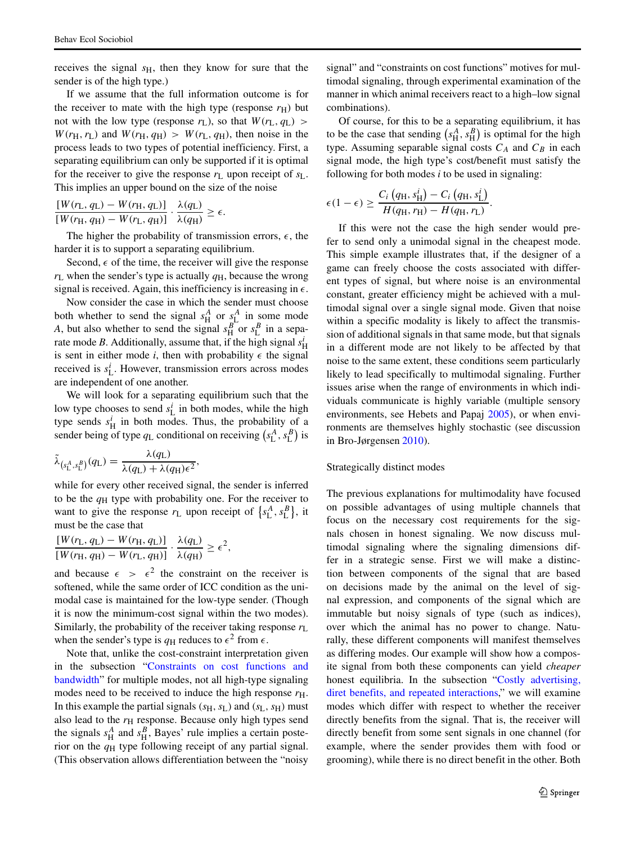receives the signal  $s_H$ , then they know for sure that the sender is of the high type.)

If we assume that the full information outcome is for the receiver to mate with the high type (response  $r_{\rm H}$ ) but not with the low type (response  $r_L$ ), so that  $W(r_L, q_L)$  $W(r_{\rm H}, r_{\rm L})$  and  $W(r_{\rm H}, q_{\rm H}) > W(r_{\rm L}, q_{\rm H})$ , then noise in the process leads to two types of potential inefficiency. First, a separating equilibrium can only be supported if it is optimal for the receiver to give the response  $r_L$  upon receipt of  $s_L$ . This implies an upper bound on the size of the noise

 $[W(r_L, q_L) - W(r_H, q_L)]$  $\frac{[W(r_{\rm L}, q_{\rm L}) - W(r_{\rm H}, q_{\rm L})]}{[W(r_{\rm H}, q_{\rm H}) - W(r_{\rm L}, q_{\rm H})]} \cdot \frac{\lambda(q_{\rm L})}{\lambda(q_{\rm H})} \ge \epsilon.$ 

The higher the probability of transmission errors,  $\epsilon$ , the harder it is to support a separating equilibrium.

Second,  $\epsilon$  of the time, the receiver will give the response  $r<sub>L</sub>$  when the sender's type is actually  $q<sub>H</sub>$ , because the wrong signal is received. Again, this inefficiency is increasing in  $\epsilon$ .

Now consider the case in which the sender must choose both whether to send the signal  $s_H^A$  or  $s_L^A$  in some mode *A*, but also whether to send the signal  $s_H^B$  or  $s_L^B$  in a separate mode *B*. Additionally, assume that, if the high signal  $s_H^i$ is sent in either mode *i*, then with probability  $\epsilon$  the signal received is  $s_L^i$ . However, transmission errors across modes are independent of one another.

We will look for a separating equilibrium such that the low type chooses to send  $s_L^i$  in both modes, while the high type sends  $s_H^i$  in both modes. Thus, the probability of a sender being of type  $q_L$  conditional on receiving  $(s_L^A, s_L^B)$  is

$$
\tilde{\lambda}_{(s_{\mathrm{L}}^A, s_{\mathrm{L}}^B)}(q_{\mathrm{L}}) = \frac{\lambda(q_{\mathrm{L}})}{\lambda(q_{\mathrm{L}}) + \lambda(q_{\mathrm{H}})\epsilon^2},
$$

while for every other received signal, the sender is inferred to be the  $q_H$  type with probability one. For the receiver to want to give the response  $r_L$  upon receipt of  $\{s_L^A, s_L^B\}$ , it must be the case that

$$
\frac{[W(r_{\rm L}, q_{\rm L}) - W(r_{\rm H}, q_{\rm L})]}{[W(r_{\rm H}, q_{\rm H}) - W(r_{\rm L}, q_{\rm H})]} \cdot \frac{\lambda(q_{\rm L})}{\lambda(q_{\rm H})} \ge \epsilon^2,
$$

and because  $\epsilon > \epsilon^2$  the constraint on the receiver is softened, while the same order of ICC condition as the unimodal case is maintained for the low-type sender. (Though it is now the minimum-cost signal within the two modes). Similarly, the probability of the receiver taking response  $r<sub>L</sub>$ . when the sender's type is  $q_H$  reduces to  $\epsilon^2$  from  $\epsilon$ .

Note that, unlike the cost-constraint interpretation given in the subsection ["Constraints on cost functions and](#page-6-1) [bandwidth"](#page-6-1) for multiple modes, not all high-type signaling modes need to be received to induce the high response  $r_{\rm H}$ . In this example the partial signals  $(s_H, s_L)$  and  $(s_L, s_H)$  must also lead to the  $r<sub>H</sub>$  response. Because only high types send the signals  $s_H^A$  and  $s_H^B$ , Bayes' rule implies a certain posterior on the  $q_H$  type following receipt of any partial signal. (This observation allows differentiation between the "noisy

signal" and "constraints on cost functions" motives for multimodal signaling, through experimental examination of the manner in which animal receivers react to a high–low signal combinations).

Of course, for this to be a separating equilibrium, it has to be the case that sending  $(s_H^A, s_H^B)$  is optimal for the high type. Assuming separable signal costs  $C_A$  and  $C_B$  in each signal mode, the high type's cost/benefit must satisfy the following for both modes *i* to be used in signaling:

$$
\epsilon(1-\epsilon) \ge \frac{C_i \left( q_\mathrm{H}, s_\mathrm{H}^i \right) - C_i \left( q_\mathrm{H}, s_\mathrm{L}^i \right)}{H(q_\mathrm{H}, r_\mathrm{H}) - H(q_\mathrm{H}, r_\mathrm{L})}.
$$

If this were not the case the high sender would prefer to send only a unimodal signal in the cheapest mode. This simple example illustrates that, if the designer of a game can freely choose the costs associated with different types of signal, but where noise is an environmental constant, greater efficiency might be achieved with a multimodal signal over a single signal mode. Given that noise within a specific modality is likely to affect the transmission of additional signals in that same mode, but that signals in a different mode are not likely to be affected by that noise to the same extent, these conditions seem particularly likely to lead specifically to multimodal signaling. Further issues arise when the range of environments in which individuals communicate is highly variable (multiple sensory environments, see Hebets and Papaj [2005\)](#page-15-19), or when environments are themselves highly stochastic (see discussion in Bro-Jørgensen [2010\)](#page-15-20).

#### Strategically distinct modes

The previous explanations for multimodality have focused on possible advantages of using multiple channels that focus on the necessary cost requirements for the signals chosen in honest signaling. We now discuss multimodal signaling where the signaling dimensions differ in a strategic sense. First we will make a distinction between components of the signal that are based on decisions made by the animal on the level of signal expression, and components of the signal which are immutable but noisy signals of type (such as indices), over which the animal has no power to change. Naturally, these different components will manifest themselves as differing modes. Our example will show how a composite signal from both these components can yield *cheaper* honest equilibria. In the subsection ["Costly advertising,](#page-10-1) [diret benefits, and repeated interactions,](#page-10-1)" we will examine modes which differ with respect to whether the receiver directly benefits from the signal. That is, the receiver will directly benefit from some sent signals in one channel (for example, where the sender provides them with food or grooming), while there is no direct benefit in the other. Both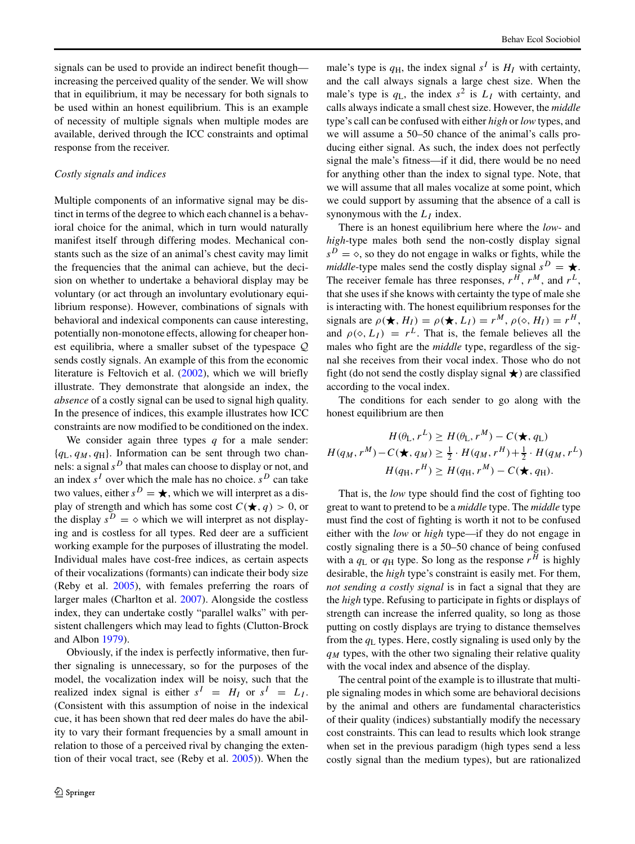signals can be used to provide an indirect benefit though increasing the perceived quality of the sender. We will show that in equilibrium, it may be necessary for both signals to be used within an honest equilibrium. This is an example of necessity of multiple signals when multiple modes are available, derived through the ICC constraints and optimal response from the receiver.

# *Costly signals and indices*

Multiple components of an informative signal may be distinct in terms of the degree to which each channel is a behavioral choice for the animal, which in turn would naturally manifest itself through differing modes. Mechanical constants such as the size of an animal's chest cavity may limit the frequencies that the animal can achieve, but the decision on whether to undertake a behavioral display may be voluntary (or act through an involuntary evolutionary equilibrium response). However, combinations of signals with behavioral and indexical components can cause interesting, potentially non-monotone effects, allowing for cheaper honest equilibria, where a smaller subset of the typespace *Q* sends costly signals. An example of this from the economic literature is Feltovich et al. [\(2002\)](#page-15-21), which we will briefly illustrate. They demonstrate that alongside an index, the *absence* of a costly signal can be used to signal high quality. In the presence of indices, this example illustrates how ICC constraints are now modified to be conditioned on the index.

We consider again three types *q* for a male sender:  ${q_L, q_M, q_H}$ . Information can be sent through two channels: a signal  $s^D$  that males can choose to display or not, and an index  $s<sup>I</sup>$  over which the male has no choice.  $s<sup>D</sup>$  can take two values, either  $s^D = \bigstar$ , which we will interpret as a display of strength and which has some cost  $C(\bigstar, q) > 0$ , or the display  $s^D = \diamond$  which we will interpret as not displaying and is costless for all types. Red deer are a sufficient working example for the purposes of illustrating the model. Individual males have cost-free indices, as certain aspects of their vocalizations (formants) can indicate their body size (Reby et al. [2005\)](#page-16-35), with females preferring the roars of larger males (Charlton et al. [2007\)](#page-15-22). Alongside the costless index, they can undertake costly "parallel walks" with persistent challengers which may lead to fights (Clutton-Brock and Albon [1979\)](#page-15-23).

Obviously, if the index is perfectly informative, then further signaling is unnecessary, so for the purposes of the model, the vocalization index will be noisy, such that the realized index signal is either  $s^I = H_I$  or  $s^I = L_I$ . (Consistent with this assumption of noise in the indexical cue, it has been shown that red deer males do have the ability to vary their formant frequencies by a small amount in relation to those of a perceived rival by changing the extention of their vocal tract, see (Reby et al. [2005\)](#page-16-35)). When the male's type is  $q_H$ , the index signal  $s^I$  is  $H_I$  with certainty, and the call always signals a large chest size. When the male's type is  $q_L$ , the index  $s^2$  is  $L_I$  with certainty, and calls always indicate a small chest size. However, the *middle* type's call can be confused with either *high* or *low* types, and we will assume a 50–50 chance of the animal's calls producing either signal. As such, the index does not perfectly signal the male's fitness—if it did, there would be no need for anything other than the index to signal type. Note, that we will assume that all males vocalize at some point, which we could support by assuming that the absence of a call is synonymous with the  $L_1$  index.

There is an honest equilibrium here where the *low*- and *high*-type males both send the non-costly display signal  $s^D = \diamond$ , so they do not engage in walks or fights, while the *middle*-type males send the costly display signal  $s^D = \star$ . The receiver female has three responses,  $r^H$ ,  $r^M$ , and  $r^L$ , that she uses if she knows with certainty the type of male she is interacting with. The honest equilibrium responses for the signals are  $\rho(\star, H_I) = \rho(\star, L_I) = r^M$ ,  $\rho(\diamond, H_I) = r^H$ , and  $\rho(\diamond, L_I) = r^L$ . That is, the female believes all the males who fight are the *middle* type, regardless of the signal she receives from their vocal index. Those who do not fight (do not send the costly display signal  $\bigstar$ ) are classified according to the vocal index.

The conditions for each sender to go along with the honest equilibrium are then

$$
H(\theta_{\text{L}}, r^L) \ge H(\theta_{\text{L}}, r^M) - C(\bigstar, q_{\text{L}})
$$
  

$$
H(q_M, r^M) - C(\bigstar, q_M) \ge \frac{1}{2} \cdot H(q_M, r^H) + \frac{1}{2} \cdot H(q_M, r^L)
$$
  

$$
H(q_{\text{H}}, r^H) \ge H(q_{\text{H}}, r^M) - C(\bigstar, q_{\text{H}}).
$$

That is, the *low* type should find the cost of fighting too great to want to pretend to be a *middle* type. The *middle* type must find the cost of fighting is worth it not to be confused either with the *low* or *high* type—if they do not engage in costly signaling there is a 50–50 chance of being confused with a  $q_L$  or  $q_H$  type. So long as the response  $r^H$  is highly desirable, the *high* type's constraint is easily met. For them, *not sending a costly signal* is in fact a signal that they are the *high* type. Refusing to participate in fights or displays of strength can increase the inferred quality, so long as those putting on costly displays are trying to distance themselves from the  $q_L$  types. Here, costly signaling is used only by the  $q_M$  types, with the other two signaling their relative quality with the vocal index and absence of the display.

The central point of the example is to illustrate that multiple signaling modes in which some are behavioral decisions by the animal and others are fundamental characteristics of their quality (indices) substantially modify the necessary cost constraints. This can lead to results which look strange when set in the previous paradigm (high types send a less costly signal than the medium types), but are rationalized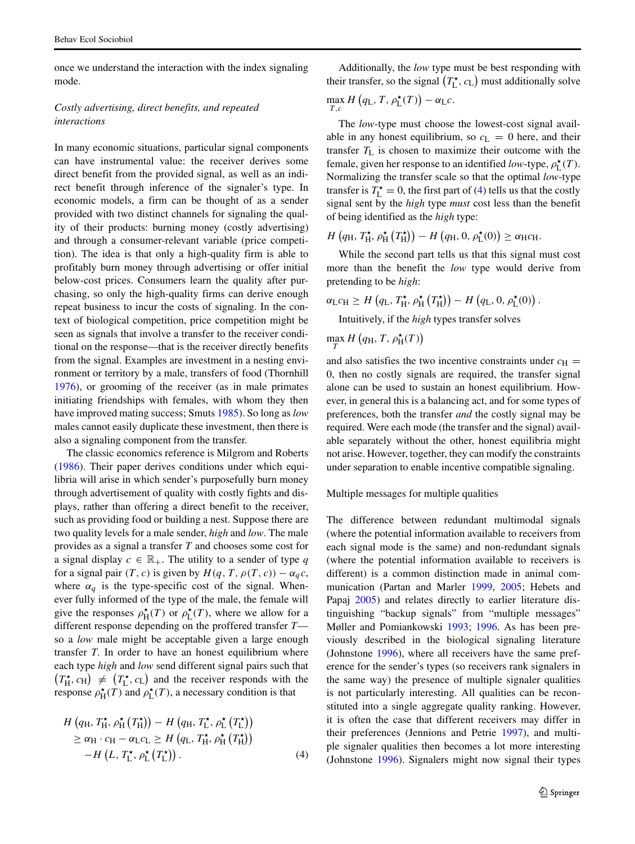once we understand the interaction with the index signaling mode.

# <span id="page-10-1"></span>*Costly advertising, direct benefits, and repeated interactions*

In many economic situations, particular signal components can have instrumental value: the receiver derives some direct benefit from the provided signal, as well as an indirect benefit through inference of the signaler's type. In economic models, a firm can be thought of as a sender provided with two distinct channels for signaling the quality of their products: burning money (costly advertising) and through a consumer-relevant variable (price competition). The idea is that only a high-quality firm is able to profitably burn money through advertising or offer initial below-cost prices. Consumers learn the quality after purchasing, so only the high-quality firms can derive enough repeat business to incur the costs of signaling. In the context of biological competition, price competition might be seen as signals that involve a transfer to the receiver conditional on the response—that is the receiver directly benefits from the signal. Examples are investment in a nesting environment or territory by a male, transfers of food (Thornhill [1976\)](#page-16-36), or grooming of the receiver (as in male primates initiating friendships with females, with whom they then have improved mating success; Smuts [1985\)](#page-16-37). So long as *low* males cannot easily duplicate these investment, then there is also a signaling component from the transfer.

The classic economics reference is Milgrom and Roberts [\(1986\)](#page-16-14). Their paper derives conditions under which equilibria will arise in which sender's purposefully burn money through advertisement of quality with costly fights and displays, rather than offering a direct benefit to the receiver, such as providing food or building a nest. Suppose there are two quality levels for a male sender, *high* and *low*. The male provides as a signal a transfer *T* and chooses some cost for a signal display  $c \in \mathbb{R}_+$ . The utility to a sender of type q for a signal pair  $(T, c)$  is given by  $H(q, T, \rho(T, c)) - \alpha_q c$ , where  $\alpha_q$  is the type-specific cost of the signal. Whenever fully informed of the type of the male, the female will give the responses  $\rho_{H}^{\star}(T)$  or  $\rho_{L}^{\star}(T)$ , where we allow for a different response depending on the proffered transfer *T* so a *low* male might be acceptable given a large enough transfer *T*. In order to have an honest equilibrium where each type *high* and *low* send different signal pairs such that  $(T_{\text{H}}^{\star}, c_{\text{H}}) \neq (T_{\text{L}}^{\star}, c_{\text{L}})$  and the receiver responds with the response  $\rho_{\rm H}^{\star}(T)$  and  $\rho_{\rm L}^{\star}(T)$ , a necessary condition is that

<span id="page-10-2"></span>
$$
H(q_{\rm H}, T_{\rm H}^{\star}, \rho_{\rm H}^{\star}(T_{\rm H}^{\star})) - H(q_{\rm H}, T_{\rm L}^{\star}, \rho_{\rm L}^{\star}(T_{\rm L}^{\star}))
$$
  
\n
$$
\geq \alpha_{\rm H} \cdot c_{\rm H} - \alpha_{\rm L} c_{\rm L} \geq H(q_{\rm L}, T_{\rm H}^{\star}, \rho_{\rm H}^{\star}(T_{\rm H}^{\star}))
$$
  
\n
$$
-H(L, T_{\rm L}^{\star}, \rho_{\rm L}^{\star}(T_{\rm L}^{\star})). \tag{4}
$$

Additionally, the *low* type must be best responding with their transfer, so the signal  $(T_L^{\star}, c_L)$  must additionally solve

# $\max_{T,c} H(q_L, T, \rho_L^{\star}(T)) - \alpha_L c.$

The *low*-type must choose the lowest-cost signal available in any honest equilibrium, so  $c<sub>L</sub> = 0$  here, and their transfer  $T_L$  is chosen to maximize their outcome with the female, given her response to an identified *low*-type,  $\rho_L^{\star}(T)$ . Normalizing the transfer scale so that the optimal *low*-type transfer is  $T_{\text{L}}^{\star} = 0$ , the first part of [\(4\)](#page-10-2) tells us that the costly signal sent by the *high* type *must* cost less than the benefit of being identified as the *high* type:

$$
H\left(q_{\mathrm{H}}, T^{\star}_{\mathrm{H}}, \rho^{\star}_{\mathrm{H}}\left(T^{\star}_{\mathrm{H}}\right)\right) - H\left(q_{\mathrm{H}}, 0, \rho^{\star}_{\mathrm{L}}(0)\right) \geq \alpha_{\mathrm{H}} c_{\mathrm{H}}.
$$

While the second part tells us that this signal must cost more than the benefit the *low* type would derive from pretending to be *high*:

 $\alpha_{\text{L}^{\text{CH}}} \geq H\left(q_{\text{L}}, T_{\text{H}}^{\star}, \rho_{\text{H}}^{\star}\left(T_{\text{H}}^{\star}\right)\right) - H\left(q_{\text{L}}, 0, \rho_{\text{L}}^{\star}(0)\right).$ 

Intuitively, if the *high* types transfer solves

$$
\max_{T} H\left(q_{\rm H}, T, \rho_{\rm H}^{\star}(T)\right)
$$

and also satisfies the two incentive constraints under  $c_{\rm H}$  = 0, then no costly signals are required, the transfer signal alone can be used to sustain an honest equilibrium. However, in general this is a balancing act, and for some types of preferences, both the transfer *and* the costly signal may be required. Were each mode (the transfer and the signal) available separately without the other, honest equilibria might not arise. However, together, they can modify the constraints under separation to enable incentive compatible signaling.

<span id="page-10-0"></span>Multiple messages for multiple qualities

The difference between redundant multimodal signals (where the potential information available to receivers from each signal mode is the same) and non-redundant signals (where the potential information available to receivers is different) is a common distinction made in animal communication (Partan and Marler [1999,](#page-16-0) [2005;](#page-16-1) Hebets and Papaj [2005\)](#page-15-19) and relates directly to earlier literature distinguishing "backup signals" from "multiple messages" Møller and Pomiankowski [1993;](#page-16-38) [1996.](#page-16-39) As has been previously described in the biological signaling literature (Johnstone [1996\)](#page-16-39), where all receivers have the same preference for the sender's types (so receivers rank signalers in the same way) the presence of multiple signaler qualities is not particularly interesting. All qualities can be reconstituted into a single aggregate quality ranking. However, it is often the case that different receivers may differ in their preferences (Jennions and Petrie [1997\)](#page-16-40), and multiple signaler qualities then becomes a lot more interesting (Johnstone [1996\)](#page-16-39). Signalers might now signal their types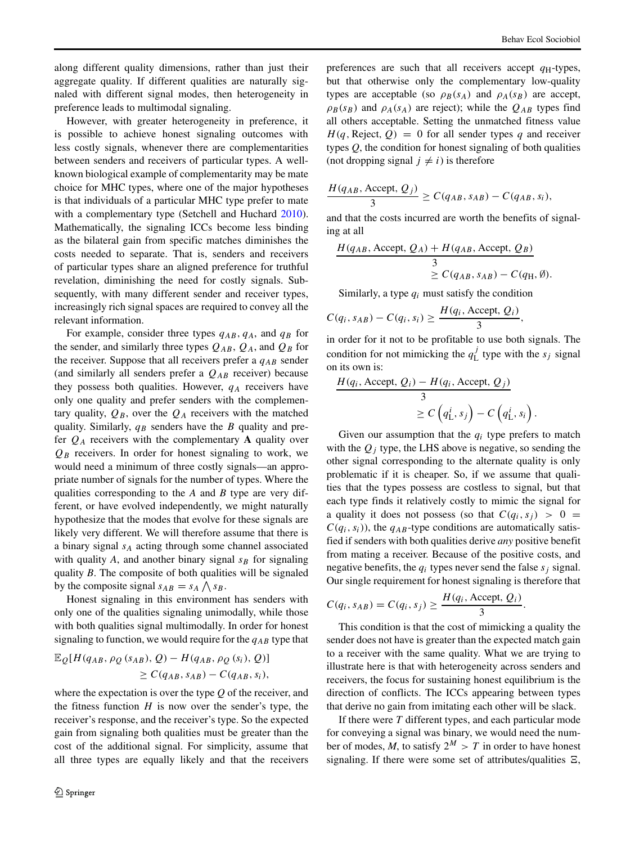along different quality dimensions, rather than just their aggregate quality. If different qualities are naturally signaled with different signal modes, then heterogeneity in preference leads to multimodal signaling.

However, with greater heterogeneity in preference, it is possible to achieve honest signaling outcomes with less costly signals, whenever there are complementarities between senders and receivers of particular types. A wellknown biological example of complementarity may be mate choice for MHC types, where one of the major hypotheses is that individuals of a particular MHC type prefer to mate with a complementary type (Setchell and Huchard [2010\)](#page-16-41). Mathematically, the signaling ICCs become less binding as the bilateral gain from specific matches diminishes the costs needed to separate. That is, senders and receivers of particular types share an aligned preference for truthful revelation, diminishing the need for costly signals. Subsequently, with many different sender and receiver types, increasingly rich signal spaces are required to convey all the relevant information.

For example, consider three types  $q_{AB}$ ,  $q_A$ , and  $q_B$  for the sender, and similarly three types  $Q_{AB}$ ,  $Q_A$ , and  $Q_B$  for the receiver. Suppose that all receivers prefer a  $q_{AB}$  sender (and similarly all senders prefer a  $Q_{AB}$  receiver) because they possess both qualities. However,  $q_A$  receivers have only one quality and prefer senders with the complementary quality,  $Q_B$ , over the  $Q_A$  receivers with the matched quality. Similarly,  $q_B$  senders have the B quality and prefer  $Q_A$  receivers with the complementary **A** quality over  $Q_B$  receivers. In order for honest signaling to work, we would need a minimum of three costly signals—an appropriate number of signals for the number of types. Where the qualities corresponding to the *A* and *B* type are very different, or have evolved independently, we might naturally hypothesize that the modes that evolve for these signals are likely very different. We will therefore assume that there is a binary signal  $s_A$  acting through some channel associated with quality *A*, and another binary signal  $s_B$  for signaling quality *B*. The composite of both qualities will be signaled by the composite signal  $s_{AB} = s_A \bigwedge s_B$ .

Honest signaling in this environment has senders with only one of the qualities signaling unimodally, while those with both qualities signal multimodally. In order for honest signaling to function, we would require for the  $q_{AB}$  type that

$$
\mathbb{E}_{Q}[H(q_{AB}, \rho_{Q}(s_{AB}), Q) - H(q_{AB}, \rho_{Q}(s_{i}), Q)]
$$
  
\n
$$
\geq C(q_{AB}, s_{AB}) - C(q_{AB}, s_{i}),
$$

where the expectation is over the type *Q* of the receiver, and the fitness function  $H$  is now over the sender's type, the receiver's response, and the receiver's type. So the expected gain from signaling both qualities must be greater than the cost of the additional signal. For simplicity, assume that all three types are equally likely and that the receivers preferences are such that all receivers accept  $q<sub>H</sub>$ -types, but that otherwise only the complementary low-quality types are acceptable (so  $\rho_B(s_A)$  and  $\rho_A(s_B)$  are accept,  $\rho_B(s_B)$  and  $\rho_A(s_A)$  are reject); while the  $Q_{AB}$  types find all others acceptable. Setting the unmatched fitness value  $H(q, \text{Reject}, Q) = 0$  for all sender types q and receiver types *Q*, the condition for honest signaling of both qualities (not dropping signal  $j \neq i$ ) is therefore

$$
\frac{H(q_{AB}, \text{Accept}, Q_j)}{3} \ge C(q_{AB}, s_{AB}) - C(q_{AB}, s_i),
$$

and that the costs incurred are worth the benefits of signaling at all

$$
\frac{H(q_{AB}, \text{Accept}, Q_A) + H(q_{AB}, \text{Accept}, Q_B)}{3}
$$
  
\n
$$
\geq C(q_{AB}, s_{AB}) - C(q_H, \emptyset).
$$

Similarly, a type  $q_i$  must satisfy the condition

$$
C(q_i, s_{AB}) - C(q_i, s_i) \ge \frac{H(q_i, \text{Accept}, Q_i)}{3},
$$

in order for it not to be profitable to use both signals. The condition for not mimicking the  $q_L^j$  type with the  $s_j$  signal on its own is:

$$
\frac{H(q_i, \text{Accept}, Q_i) - H(q_i, \text{Accept}, Q_j)}{3}
$$

$$
\geq C\left(q_{\text{L}}^i, s_j\right) - C\left(q_{\text{L}}^i, s_i\right).
$$

Given our assumption that the  $q_i$  type prefers to match with the  $Q_i$  type, the LHS above is negative, so sending the other signal corresponding to the alternate quality is only problematic if it is cheaper. So, if we assume that qualities that the types possess are costless to signal, but that each type finds it relatively costly to mimic the signal for a quality it does not possess (so that  $C(q_i, s_j) > 0$  =  $C(q_i, s_i)$ , the  $q_{AB}$ -type conditions are automatically satisfied if senders with both qualities derive *any* positive benefit from mating a receiver. Because of the positive costs, and negative benefits, the  $q_i$  types never send the false  $s_i$  signal. Our single requirement for honest signaling is therefore that

$$
C(q_i, s_{AB}) = C(q_i, s_j) \ge \frac{H(q_i, \text{Accept}, Q_i)}{3}.
$$

This condition is that the cost of mimicking a quality the sender does not have is greater than the expected match gain to a receiver with the same quality. What we are trying to illustrate here is that with heterogeneity across senders and receivers, the focus for sustaining honest equilibrium is the direction of conflicts. The ICCs appearing between types that derive no gain from imitating each other will be slack.

If there were *T* different types, and each particular mode for conveying a signal was binary, we would need the number of modes, *M*, to satisfy  $2^M > T$  in order to have honest signaling. If there were some set of attributes/qualities  $E$ ,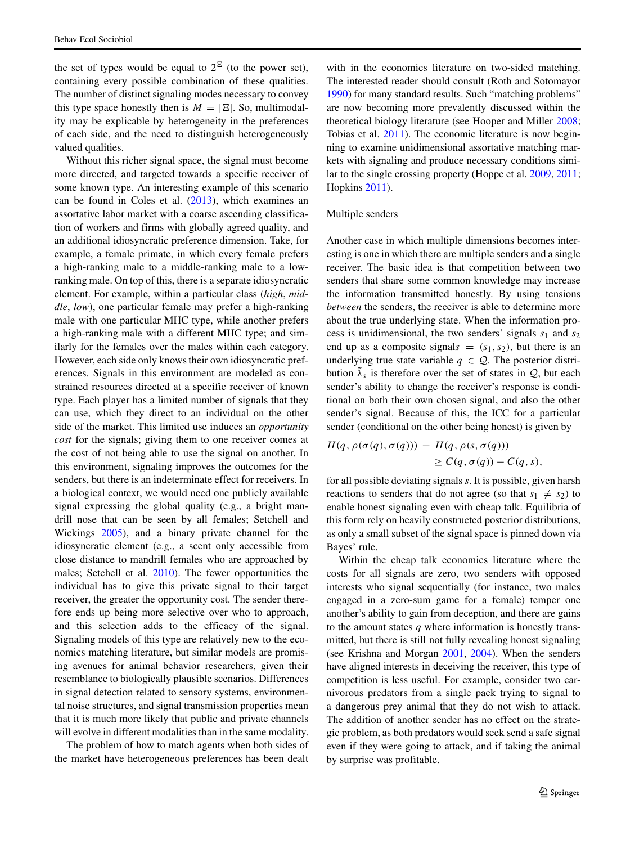the set of types would be equal to  $2^{\mathbb{E}}$  (to the power set), containing every possible combination of these qualities. The number of distinct signaling modes necessary to convey this type space honestly then is  $M = |\Xi|$ . So, multimodality may be explicable by heterogeneity in the preferences of each side, and the need to distinguish heterogeneously valued qualities.

Without this richer signal space, the signal must become more directed, and targeted towards a specific receiver of some known type. An interesting example of this scenario can be found in Coles et al. [\(2013\)](#page-15-24), which examines an assortative labor market with a coarse ascending classification of workers and firms with globally agreed quality, and an additional idiosyncratic preference dimension. Take, for example, a female primate, in which every female prefers a high-ranking male to a middle-ranking male to a lowranking male. On top of this, there is a separate idiosyncratic element. For example, within a particular class (*high*, *middle*, *low*), one particular female may prefer a high-ranking male with one particular MHC type, while another prefers a high-ranking male with a different MHC type; and similarly for the females over the males within each category. However, each side only knows their own idiosyncratic preferences. Signals in this environment are modeled as constrained resources directed at a specific receiver of known type. Each player has a limited number of signals that they can use, which they direct to an individual on the other side of the market. This limited use induces an *opportunity cost* for the signals; giving them to one receiver comes at the cost of not being able to use the signal on another. In this environment, signaling improves the outcomes for the senders, but there is an indeterminate effect for receivers. In a biological context, we would need one publicly available signal expressing the global quality (e.g., a bright mandrill nose that can be seen by all females; Setchell and Wickings [2005\)](#page-16-42), and a binary private channel for the idiosyncratic element (e.g., a scent only accessible from close distance to mandrill females who are approached by males; Setchell et al. [2010\)](#page-16-43). The fewer opportunities the individual has to give this private signal to their target receiver, the greater the opportunity cost. The sender therefore ends up being more selective over who to approach, and this selection adds to the efficacy of the signal. Signaling models of this type are relatively new to the economics matching literature, but similar models are promising avenues for animal behavior researchers, given their resemblance to biologically plausible scenarios. Differences in signal detection related to sensory systems, environmental noise structures, and signal transmission properties mean that it is much more likely that public and private channels will evolve in different modalities than in the same modality.

The problem of how to match agents when both sides of the market have heterogeneous preferences has been dealt with in the economics literature on two-sided matching. The interested reader should consult (Roth and Sotomayor [1990\)](#page-16-44) for many standard results. Such "matching problems" are now becoming more prevalently discussed within the theoretical biology literature (see Hooper and Miller [2008;](#page-15-25) Tobias et al. [2011\)](#page-16-45). The economic literature is now beginning to examine unidimensional assortative matching markets with signaling and produce necessary conditions similar to the single crossing property (Hoppe et al. [2009,](#page-16-46) [2011;](#page-16-47) Hopkins [2011\)](#page-15-26).

# Multiple senders

Another case in which multiple dimensions becomes interesting is one in which there are multiple senders and a single receiver. The basic idea is that competition between two senders that share some common knowledge may increase the information transmitted honestly. By using tensions *between* the senders, the receiver is able to determine more about the true underlying state. When the information process is unidimensional, the two senders' signals  $s_1$  and  $s_2$ end up as a composite signals =  $(s_1, s_2)$ , but there is an underlying true state variable  $q \in \mathcal{Q}$ . The posterior distribution  $\lambda_s$  is therefore over the set of states in *Q*, but each sender's ability to change the receiver's response is conditional on both their own chosen signal, and also the other sender's signal. Because of this, the ICC for a particular sender (conditional on the other being honest) is given by

$$
H(q, \rho(\sigma(q), \sigma(q))) - H(q, \rho(s, \sigma(q)))
$$
  
\n
$$
\geq C(q, \sigma(q)) - C(q, s),
$$

for all possible deviating signals *s*. It is possible, given harsh reactions to senders that do not agree (so that  $s_1 \neq s_2$ ) to enable honest signaling even with cheap talk. Equilibria of this form rely on heavily constructed posterior distributions, as only a small subset of the signal space is pinned down via Bayes' rule.

Within the cheap talk economics literature where the costs for all signals are zero, two senders with opposed interests who signal sequentially (for instance, two males engaged in a zero-sum game for a female) temper one another's ability to gain from deception, and there are gains to the amount states *q* where information is honestly transmitted, but there is still not fully revealing honest signaling (see Krishna and Morgan [2001,](#page-16-48) [2004\)](#page-16-49). When the senders have aligned interests in deceiving the receiver, this type of competition is less useful. For example, consider two carnivorous predators from a single pack trying to signal to a dangerous prey animal that they do not wish to attack. The addition of another sender has no effect on the strategic problem, as both predators would seek send a safe signal even if they were going to attack, and if taking the animal by surprise was profitable.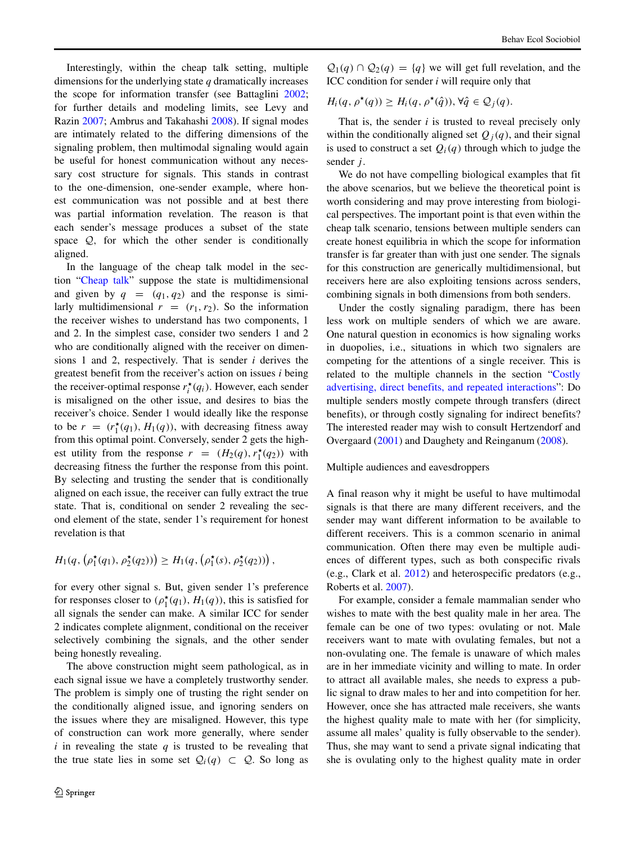Interestingly, within the cheap talk setting, multiple dimensions for the underlying state *q* dramatically increases the scope for information transfer (see Battaglini [2002;](#page-15-27) for further details and modeling limits, see Levy and Razin [2007;](#page-16-50) Ambrus and Takahashi [2008\)](#page-15-28). If signal modes are intimately related to the differing dimensions of the signaling problem, then multimodal signaling would again be useful for honest communication without any necessary cost structure for signals. This stands in contrast to the one-dimension, one-sender example, where honest communication was not possible and at best there was partial information revelation. The reason is that each sender's message produces a subset of the state space *Q*, for which the other sender is conditionally aligned.

In the language of the cheap talk model in the section ["Cheap talk"](#page-5-0) suppose the state is multidimensional and given by  $q = (q_1, q_2)$  and the response is similarly multidimensional  $r = (r_1, r_2)$ . So the information the receiver wishes to understand has two components, 1 and 2. In the simplest case, consider two senders 1 and 2 who are conditionally aligned with the receiver on dimensions 1 and 2, respectively. That is sender *i* derives the greatest benefit from the receiver's action on issues *i* being the receiver-optimal response  $r_i^*(q_i)$ . However, each sender is misaligned on the other issue, and desires to bias the receiver's choice. Sender 1 would ideally like the response to be  $r = (r_1^*(q_1), H_1(q))$ , with decreasing fitness away from this optimal point. Conversely, sender 2 gets the highest utility from the response  $r = (H_2(q), r_1^{\star}(q_2))$  with decreasing fitness the further the response from this point. By selecting and trusting the sender that is conditionally aligned on each issue, the receiver can fully extract the true state. That is, conditional on sender 2 revealing the second element of the state, sender 1's requirement for honest revelation is that

$$
H_1(q, \left(\rho_1^{\star}(q_1), \rho_2^{\star}(q_2)\right)) \geq H_1(q, \left(\rho_1^{\star}(s), \rho_2^{\star}(q_2)\right)),
$$

for every other signal s. But, given sender 1's preference for responses closer to  $(\rho_1^*(q_1), H_1(q))$ , this is satisfied for all signals the sender can make. A similar ICC for sender 2 indicates complete alignment, conditional on the receiver selectively combining the signals, and the other sender being honestly revealing.

The above construction might seem pathological, as in each signal issue we have a completely trustworthy sender. The problem is simply one of trusting the right sender on the conditionally aligned issue, and ignoring senders on the issues where they are misaligned. However, this type of construction can work more generally, where sender  $i$  in revealing the state  $q$  is trusted to be revealing that the true state lies in some set  $Q_i(q) \subset Q$ . So long as

 $Q_1(q) \cap Q_2(q) = \{q\}$  we will get full revelation, and the ICC condition for sender *i* will require only that

$$
H_i(q, \rho^{\star}(q)) \geq H_i(q, \rho^{\star}(\hat{q})), \forall \hat{q} \in \mathcal{Q}_j(q).
$$

That is, the sender *i* is trusted to reveal precisely only within the conditionally aligned set  $Q_i(q)$ , and their signal is used to construct a set  $Q_i(q)$  through which to judge the sender *j*.

We do not have compelling biological examples that fit the above scenarios, but we believe the theoretical point is worth considering and may prove interesting from biological perspectives. The important point is that even within the cheap talk scenario, tensions between multiple senders can create honest equilibria in which the scope for information transfer is far greater than with just one sender. The signals for this construction are generically multidimensional, but receivers here are also exploiting tensions across senders, combining signals in both dimensions from both senders.

Under the costly signaling paradigm, there has been less work on multiple senders of which we are aware. One natural question in economics is how signaling works in duopolies, i.e., situations in which two signalers are competing for the attentions of a single receiver. This is related to the multiple channels in the section ["Costly](#page-10-1) [advertising, direct benefits, and repeated interactions"](#page-10-1): Do multiple senders mostly compete through transfers (direct benefits), or through costly signaling for indirect benefits? The interested reader may wish to consult Hertzendorf and Overgaard [\(2001\)](#page-15-29) and Daughety and Reinganum [\(2008\)](#page-15-30).

## Multiple audiences and eavesdroppers

A final reason why it might be useful to have multimodal signals is that there are many different receivers, and the sender may want different information to be available to different receivers. This is a common scenario in animal communication. Often there may even be multiple audiences of different types, such as both conspecific rivals (e.g., Clark et al. [2012\)](#page-15-31) and heterospecific predators (e.g., Roberts et al. [2007\)](#page-16-51).

For example, consider a female mammalian sender who wishes to mate with the best quality male in her area. The female can be one of two types: ovulating or not. Male receivers want to mate with ovulating females, but not a non-ovulating one. The female is unaware of which males are in her immediate vicinity and willing to mate. In order to attract all available males, she needs to express a public signal to draw males to her and into competition for her. However, once she has attracted male receivers, she wants the highest quality male to mate with her (for simplicity, assume all males' quality is fully observable to the sender). Thus, she may want to send a private signal indicating that she is ovulating only to the highest quality mate in order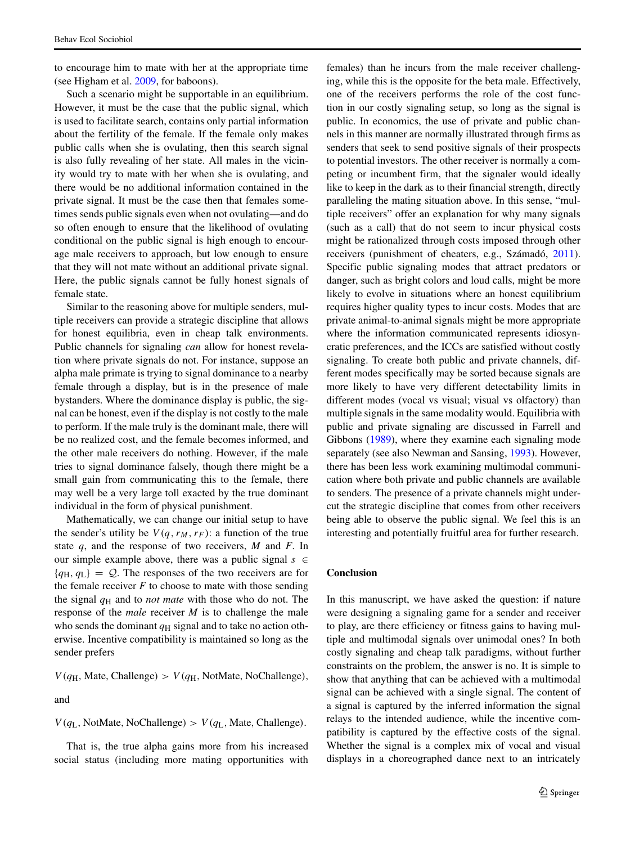to encourage him to mate with her at the appropriate time (see Higham et al. [2009,](#page-15-32) for baboons).

Such a scenario might be supportable in an equilibrium. However, it must be the case that the public signal, which is used to facilitate search, contains only partial information about the fertility of the female. If the female only makes public calls when she is ovulating, then this search signal is also fully revealing of her state. All males in the vicinity would try to mate with her when she is ovulating, and there would be no additional information contained in the private signal. It must be the case then that females sometimes sends public signals even when not ovulating—and do so often enough to ensure that the likelihood of ovulating conditional on the public signal is high enough to encourage male receivers to approach, but low enough to ensure that they will not mate without an additional private signal. Here, the public signals cannot be fully honest signals of female state.

Similar to the reasoning above for multiple senders, multiple receivers can provide a strategic discipline that allows for honest equilibria, even in cheap talk environments. Public channels for signaling *can* allow for honest revelation where private signals do not. For instance, suppose an alpha male primate is trying to signal dominance to a nearby female through a display, but is in the presence of male bystanders. Where the dominance display is public, the signal can be honest, even if the display is not costly to the male to perform. If the male truly is the dominant male, there will be no realized cost, and the female becomes informed, and the other male receivers do nothing. However, if the male tries to signal dominance falsely, though there might be a small gain from communicating this to the female, there may well be a very large toll exacted by the true dominant individual in the form of physical punishment.

Mathematically, we can change our initial setup to have the sender's utility be  $V(q, r_M, r_F)$ : a function of the true state *q*, and the response of two receivers, *M* and *F*. In our simple example above, there was a public signal  $s \in$  ${q_H, q_L} = Q$ . The responses of the two receivers are for the female receiver  $F$  to choose to mate with those sending the signal  $q_H$  and to *not mate* with those who do not. The response of the *male* receiver *M* is to challenge the male who sends the dominant  $q<sub>H</sub>$  signal and to take no action otherwise. Incentive compatibility is maintained so long as the sender prefers

 $V(q_{\rm H},$  Mate, Challenge) >  $V(q_{\rm H},$  NotMate, NoChallenge),

and

 $V(q_L, \text{NotMate}, \text{NoChallenge}) > V(q_L, \text{ Mate}, \text{Challenge}).$ 

That is, the true alpha gains more from his increased social status (including more mating opportunities with females) than he incurs from the male receiver challenging, while this is the opposite for the beta male. Effectively, one of the receivers performs the role of the cost function in our costly signaling setup, so long as the signal is public. In economics, the use of private and public channels in this manner are normally illustrated through firms as senders that seek to send positive signals of their prospects to potential investors. The other receiver is normally a competing or incumbent firm, that the signaler would ideally like to keep in the dark as to their financial strength, directly paralleling the mating situation above. In this sense, "multiple receivers" offer an explanation for why many signals (such as a call) that do not seem to incur physical costs might be rationalized through costs imposed through other receivers (punishment of cheaters, e.g., Számadó, [2011\)](#page-16-25). Specific public signaling modes that attract predators or danger, such as bright colors and loud calls, might be more likely to evolve in situations where an honest equilibrium requires higher quality types to incur costs. Modes that are private animal-to-animal signals might be more appropriate where the information communicated represents idiosyncratic preferences, and the ICCs are satisfied without costly signaling. To create both public and private channels, different modes specifically may be sorted because signals are more likely to have very different detectability limits in different modes (vocal vs visual; visual vs olfactory) than multiple signals in the same modality would. Equilibria with public and private signaling are discussed in Farrell and Gibbons [\(1989\)](#page-15-33), where they examine each signaling mode separately (see also Newman and Sansing, [1993\)](#page-16-52). However, there has been less work examining multimodal communication where both private and public channels are available to senders. The presence of a private channels might undercut the strategic discipline that comes from other receivers being able to observe the public signal. We feel this is an interesting and potentially fruitful area for further research.

## **Conclusion**

In this manuscript, we have asked the question: if nature were designing a signaling game for a sender and receiver to play, are there efficiency or fitness gains to having multiple and multimodal signals over unimodal ones? In both costly signaling and cheap talk paradigms, without further constraints on the problem, the answer is no. It is simple to show that anything that can be achieved with a multimodal signal can be achieved with a single signal. The content of a signal is captured by the inferred information the signal relays to the intended audience, while the incentive compatibility is captured by the effective costs of the signal. Whether the signal is a complex mix of vocal and visual displays in a choreographed dance next to an intricately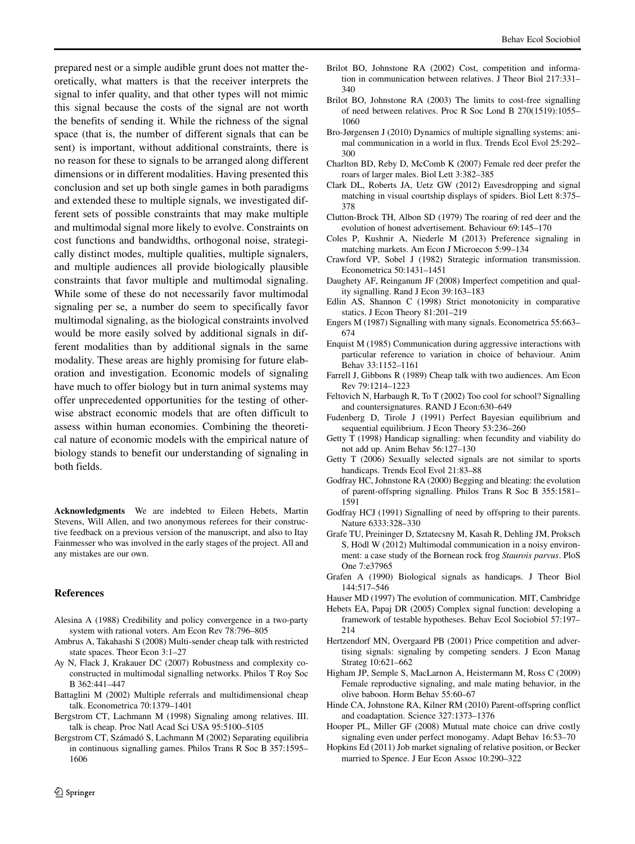prepared nest or a simple audible grunt does not matter theoretically, what matters is that the receiver interprets the signal to infer quality, and that other types will not mimic this signal because the costs of the signal are not worth the benefits of sending it. While the richness of the signal space (that is, the number of different signals that can be sent) is important, without additional constraints, there is no reason for these to signals to be arranged along different dimensions or in different modalities. Having presented this conclusion and set up both single games in both paradigms and extended these to multiple signals, we investigated different sets of possible constraints that may make multiple and multimodal signal more likely to evolve. Constraints on cost functions and bandwidths, orthogonal noise, strategically distinct modes, multiple qualities, multiple signalers, and multiple audiences all provide biologically plausible constraints that favor multiple and multimodal signaling. While some of these do not necessarily favor multimodal signaling per se, a number do seem to specifically favor multimodal signaling, as the biological constraints involved would be more easily solved by additional signals in different modalities than by additional signals in the same modality. These areas are highly promising for future elaboration and investigation. Economic models of signaling have much to offer biology but in turn animal systems may offer unprecedented opportunities for the testing of otherwise abstract economic models that are often difficult to assess within human economies. Combining the theoretical nature of economic models with the empirical nature of biology stands to benefit our understanding of signaling in both fields.

**Acknowledgments** We are indebted to Eileen Hebets, Martin Stevens, Will Allen, and two anonymous referees for their constructive feedback on a previous version of the manuscript, and also to Itay Fainmesser who was involved in the early stages of the project. All and any mistakes are our own.

#### **References**

- <span id="page-15-5"></span>Alesina A (1988) Credibility and policy convergence in a two-party system with rational voters. Am Econ Rev 78:796–805
- <span id="page-15-28"></span>Ambrus A, Takahashi S (2008) Multi-sender cheap talk with restricted state spaces. Theor Econ 3:1–27
- <span id="page-15-16"></span>Ay N, Flack J, Krakauer DC (2007) Robustness and complexity coconstructed in multimodal signalling networks. Philos T Roy Soc B 362:441–447
- <span id="page-15-27"></span>Battaglini M (2002) Multiple referrals and multidimensional cheap talk. Econometrica 70:1379–1401
- <span id="page-15-9"></span>Bergstrom CT, Lachmann M (1998) Signaling among relatives. III. talk is cheap. Proc Natl Acad Sci USA 95:5100–5105
- <span id="page-15-1"></span>Bergstrom CT, Számadó S, Lachmann M (2002) Separating equilibria in continuous signalling games. Philos Trans R Soc B 357:1595– 1606
- <span id="page-15-10"></span>Brilot BO, Johnstone RA (2002) Cost, competition and information in communication between relatives. J Theor Biol 217:331– 340
- <span id="page-15-11"></span>Brilot BO, Johnstone RA (2003) The limits to cost-free signalling of need between relatives. Proc R Soc Lond B 270(1519):1055– 1060
- <span id="page-15-20"></span>Bro-Jørgensen J (2010) Dynamics of multiple signalling systems: animal communication in a world in flux. Trends Ecol Evol 25:292– 300
- <span id="page-15-22"></span>Charlton BD, Reby D, McComb K (2007) Female red deer prefer the roars of larger males. Biol Lett 3:382–385
- <span id="page-15-31"></span>Clark DL, Roberts JA, Uetz GW (2012) Eavesdropping and signal matching in visual courtship displays of spiders. Biol Lett 8:375– 378
- <span id="page-15-23"></span>Clutton-Brock TH, Albon SD (1979) The roaring of red deer and the evolution of honest advertisement. Behaviour 69:145–170
- <span id="page-15-24"></span>Coles P, Kushnir A, Niederle M (2013) Preference signaling in matching markets. Am Econ J Microecon 5:99–134
- <span id="page-15-8"></span>Crawford VP, Sobel J (1982) Strategic information transmission. Econometrica 50:1431–1451
- <span id="page-15-30"></span>Daughety AF, Reinganum JF (2008) Imperfect competition and quality signalling. Rand J Econ 39:163–183
- <span id="page-15-14"></span>Edlin AS, Shannon C (1998) Strict monotonicity in comparative statics. J Econ Theory 81:201–219
- <span id="page-15-15"></span>Engers M (1987) Signalling with many signals. Econometrica 55:663– 674
- <span id="page-15-0"></span>Enquist M (1985) Communication during aggressive interactions with particular reference to variation in choice of behaviour. Anim Behav 33:1152–1161
- <span id="page-15-33"></span>Farrell J, Gibbons R (1989) Cheap talk with two audiences. Am Econ Rev 79:1214–1223
- <span id="page-15-21"></span>Feltovich N, Harbaugh R, To T (2002) Too cool for school? Signalling and countersignatures. RAND J Econ:630–649
- <span id="page-15-13"></span>Fudenberg D, Tirole J (1991) Perfect Bayesian equilibrium and sequential equilibrium. J Econ Theory 53:236–260
- <span id="page-15-2"></span>Getty T (1998) Handicap signalling: when fecundity and viability do not add up. Anim Behav 56:127–130
- <span id="page-15-12"></span>Getty T (2006) Sexually selected signals are not similar to sports handicaps. Trends Ecol Evol 21:83–88
- <span id="page-15-4"></span>Godfray HC, Johnstone RA (2000) Begging and bleating: the evolution of parent-offspring signalling. Philos Trans R Soc B 355:1581– 1591
- <span id="page-15-3"></span>Godfray HCJ (1991) Signalling of need by offspring to their parents. Nature 6333:328–330
- <span id="page-15-18"></span>Grafe TU, Preininger D, Sztatecsny M, Kasah R, Dehling JM, Proksch S, Hödl W (2012) Multimodal communication in a noisy environment: a case study of the Bornean rock frog *Staurois parvus*. PloS One 7:e37965
- <span id="page-15-7"></span>Grafen A (1990) Biological signals as handicaps. J Theor Biol 144:517–546
- <span id="page-15-17"></span>Hauser MD (1997) The evolution of communication. MIT, Cambridge
- <span id="page-15-19"></span>Hebets EA, Papaj DR (2005) Complex signal function: developing a framework of testable hypotheses. Behav Ecol Sociobiol 57:197– 214
- <span id="page-15-29"></span>Hertzendorf MN, Overgaard PB (2001) Price competition and advertising signals: signaling by competing senders. J Econ Manag Strateg 10:621–662
- <span id="page-15-32"></span>Higham JP, Semple S, MacLarnon A, Heistermann M, Ross C (2009) Female reproductive signaling, and male mating behavior, in the olive baboon. Horm Behav 55:60–67
- <span id="page-15-6"></span>Hinde CA, Johnstone RA, Kilner RM (2010) Parent-offspring conflict and coadaptation. Science 327:1373–1376
- <span id="page-15-25"></span>Hooper PL, Miller GF (2008) Mutual mate choice can drive costly signaling even under perfect monogamy. Adapt Behav 16:53–70
- <span id="page-15-26"></span>Hopkins Ed (2011) Job market signaling of relative position, or Becker married to Spence. J Eur Econ Assoc 10:290–322